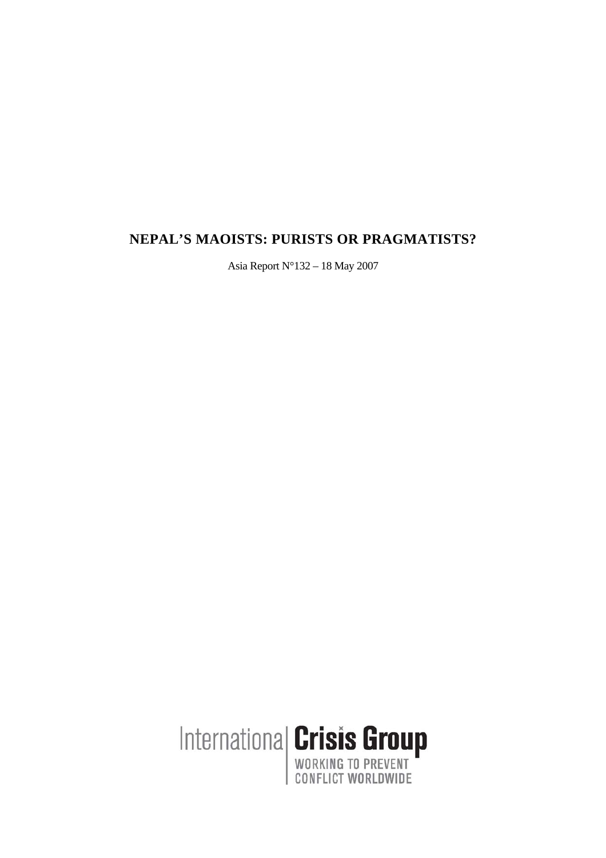# **NEPAL'S MAOISTS: PURISTS OR PRAGMATISTS?**

Asia Report N°132 – 18 May 2007

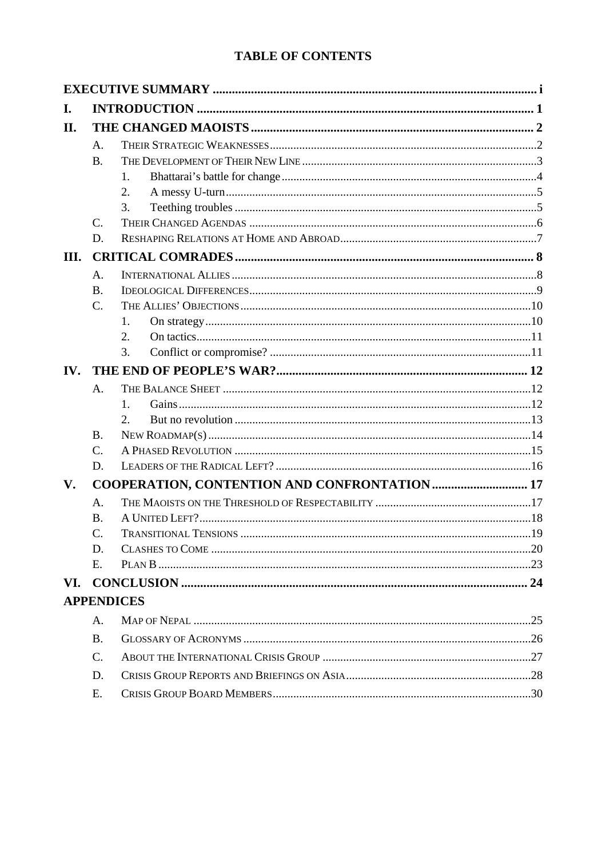# **TABLE OF CONTENTS**

| I.            |                   |                                               |  |  |
|---------------|-------------------|-----------------------------------------------|--|--|
| II.           |                   |                                               |  |  |
|               | A.                |                                               |  |  |
|               | <b>B.</b>         |                                               |  |  |
|               |                   | 1.                                            |  |  |
|               |                   | 2.                                            |  |  |
|               |                   | 3.                                            |  |  |
|               | $\mathcal{C}$ .   |                                               |  |  |
|               | D.                |                                               |  |  |
| III.          |                   |                                               |  |  |
|               | A.                |                                               |  |  |
|               | <b>B.</b>         |                                               |  |  |
|               | $\mathcal{C}$ .   |                                               |  |  |
|               |                   | 1.                                            |  |  |
|               |                   | 2.                                            |  |  |
|               |                   | 3.                                            |  |  |
| IV.           |                   |                                               |  |  |
|               | A.                |                                               |  |  |
|               |                   | 1.                                            |  |  |
|               |                   | 2.                                            |  |  |
|               | <b>B.</b>         |                                               |  |  |
|               | $\mathcal{C}$ .   |                                               |  |  |
|               | D.                |                                               |  |  |
| $V_{\bullet}$ |                   | COOPERATION, CONTENTION AND CONFRONTATION  17 |  |  |
|               | A.                |                                               |  |  |
|               | $\mathbf{B}$ .    |                                               |  |  |
|               | C.                | <b>TRANSITIONAL TENSIONS</b>                  |  |  |
|               | D.                |                                               |  |  |
|               | E.                |                                               |  |  |
| VI.           |                   |                                               |  |  |
|               | <b>APPENDICES</b> |                                               |  |  |
|               | A.                |                                               |  |  |
|               | <b>B.</b>         |                                               |  |  |
|               | $\mathcal{C}$ .   |                                               |  |  |
|               | D.                |                                               |  |  |
|               | E.                |                                               |  |  |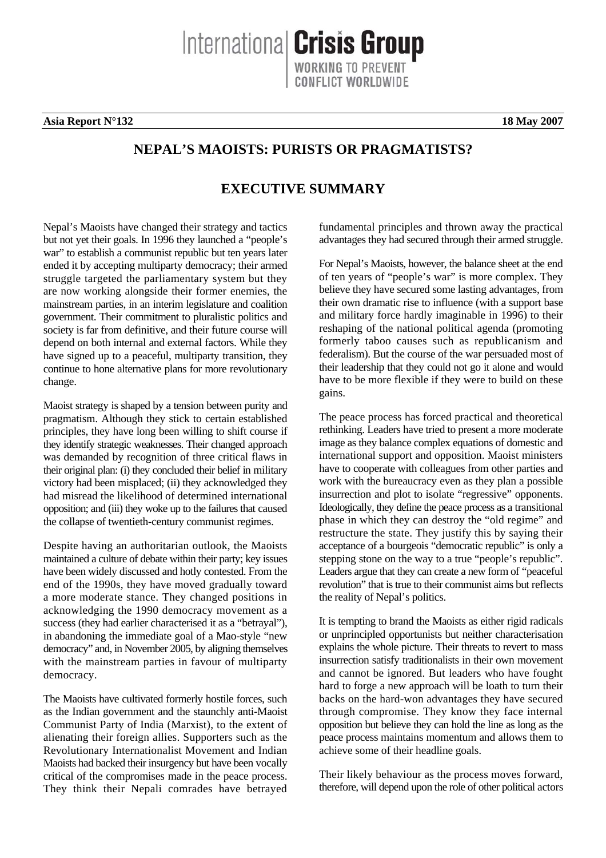**Asia Report N°132** 18 May 2007

# **NEPAL'S MAOISTS: PURISTS OR PRAGMATISTS?**

# **EXECUTIVE SUMMARY**

Nepal's Maoists have changed their strategy and tactics but not yet their goals. In 1996 they launched a "people's war" to establish a communist republic but ten years later ended it by accepting multiparty democracy; their armed struggle targeted the parliamentary system but they are now working alongside their former enemies, the mainstream parties, in an interim legislature and coalition government. Their commitment to pluralistic politics and society is far from definitive, and their future course will depend on both internal and external factors. While they have signed up to a peaceful, multiparty transition, they continue to hone alternative plans for more revolutionary change.

Maoist strategy is shaped by a tension between purity and pragmatism. Although they stick to certain established principles, they have long been willing to shift course if they identify strategic weaknesses. Their changed approach was demanded by recognition of three critical flaws in their original plan: (i) they concluded their belief in military victory had been misplaced; (ii) they acknowledged they had misread the likelihood of determined international opposition; and (iii) they woke up to the failures that caused the collapse of twentieth-century communist regimes.

Despite having an authoritarian outlook, the Maoists maintained a culture of debate within their party; key issues have been widely discussed and hotly contested. From the end of the 1990s, they have moved gradually toward a more moderate stance. They changed positions in acknowledging the 1990 democracy movement as a success (they had earlier characterised it as a "betrayal"), in abandoning the immediate goal of a Mao-style "new democracy" and, in November 2005, by aligning themselves with the mainstream parties in favour of multiparty democracy.

The Maoists have cultivated formerly hostile forces, such as the Indian government and the staunchly anti-Maoist Communist Party of India (Marxist), to the extent of alienating their foreign allies. Supporters such as the Revolutionary Internationalist Movement and Indian Maoists had backed their insurgency but have been vocally critical of the compromises made in the peace process. They think their Nepali comrades have betrayed

fundamental principles and thrown away the practical advantages they had secured through their armed struggle.

For Nepal's Maoists, however, the balance sheet at the end of ten years of "people's war" is more complex. They believe they have secured some lasting advantages, from their own dramatic rise to influence (with a support base and military force hardly imaginable in 1996) to their reshaping of the national political agenda (promoting formerly taboo causes such as republicanism and federalism). But the course of the war persuaded most of their leadership that they could not go it alone and would have to be more flexible if they were to build on these gains.

The peace process has forced practical and theoretical rethinking. Leaders have tried to present a more moderate image as they balance complex equations of domestic and international support and opposition. Maoist ministers have to cooperate with colleagues from other parties and work with the bureaucracy even as they plan a possible insurrection and plot to isolate "regressive" opponents. Ideologically, they define the peace process as a transitional phase in which they can destroy the "old regime" and restructure the state. They justify this by saying their acceptance of a bourgeois "democratic republic" is only a stepping stone on the way to a true "people's republic". Leaders argue that they can create a new form of "peaceful revolution" that is true to their communist aims but reflects the reality of Nepal's politics.

It is tempting to brand the Maoists as either rigid radicals or unprincipled opportunists but neither characterisation explains the whole picture. Their threats to revert to mass insurrection satisfy traditionalists in their own movement and cannot be ignored. But leaders who have fought hard to forge a new approach will be loath to turn their backs on the hard-won advantages they have secured through compromise. They know they face internal opposition but believe they can hold the line as long as the peace process maintains momentum and allows them to achieve some of their headline goals.

Their likely behaviour as the process moves forward, therefore, will depend upon the role of other political actors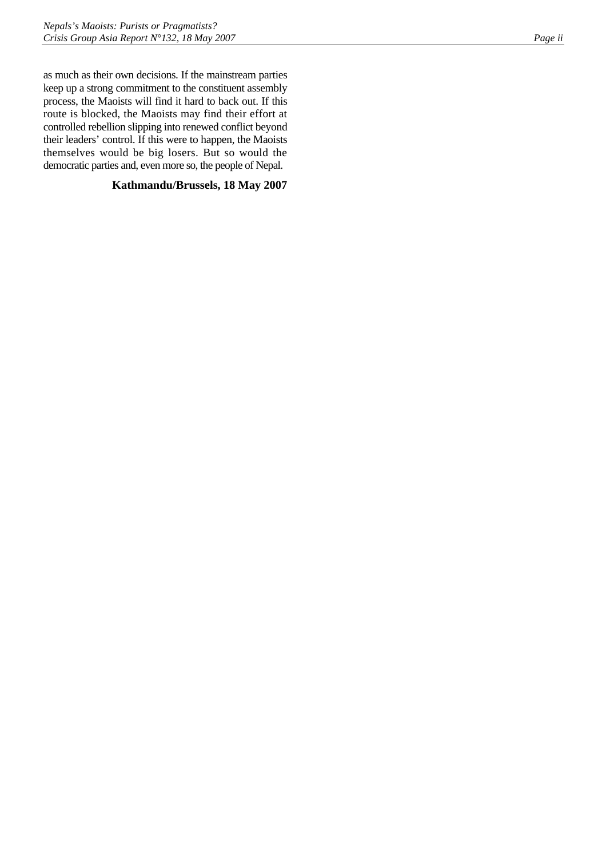as much as their own decisions. If the mainstream parties keep up a strong commitment to the constituent assembly process, the Maoists will find it hard to back out. If this route is blocked, the Maoists may find their effort at controlled rebellion slipping into renewed conflict beyond their leaders' control. If this were to happen, the Maoists themselves would be big losers. But so would the democratic parties and, even more so, the people of Nepal.

## **Kathmandu/Brussels, 18 May 2007**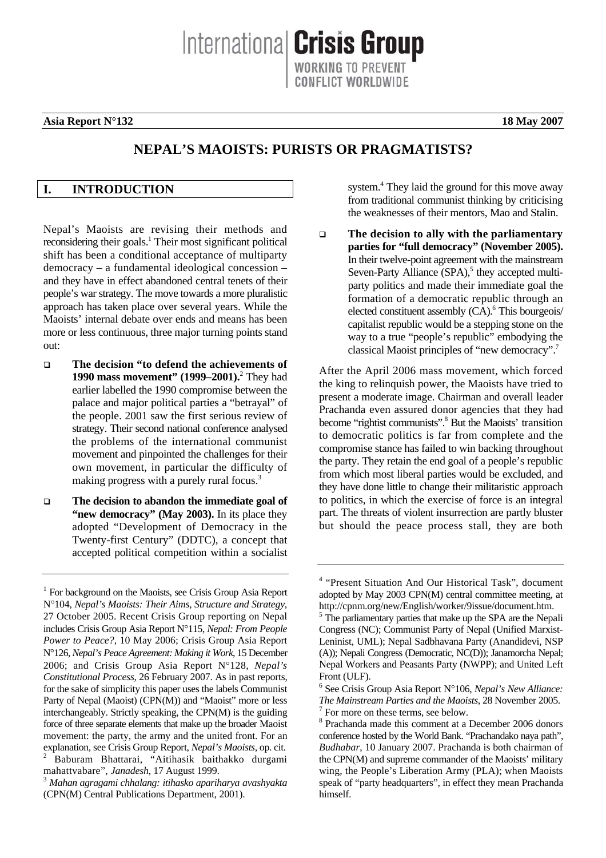Internationa **Crisis Group** 

### <span id="page-4-0"></span>**Asia Report N°132** 18 May 2007

# **NEPAL'S MAOISTS: PURISTS OR PRAGMATISTS?**

### **I. INTRODUCTION**

Nepal's Maoists are revising their methods and reconsidering their goals.<sup>[1](#page-4-1)</sup> Their most significant political shift has been a conditional acceptance of multiparty democracy – a fundamental ideological concession – and they have in effect abandoned central tenets of their people's war strategy. The move towards a more pluralistic approach has taken place over several years. While the Maoists' internal debate over ends and means has been more or less continuous, three major turning points stand out:

- **The decision "to defend the achievements of 1990 mass movement" (1999–2001).**<sup>2</sup>  [T](#page-4-2)hey had earlier labelled the 1990 compromise between the palace and major political parties a "betrayal" of the people. 2001 saw the first serious review of strategy. Their second national conference analysed the problems of the international communist movement and pinpointed the challenges for their own movement, in particular the difficulty of making progress with a purely rural focus.<sup>[3](#page-4-3)</sup>
- **The decision to abandon the immediate goal of "new democracy" (May 2003).** In its place they adopted "Development of Democracy in the Twenty-first Century" (DDTC), a concept that accepted political competition within a socialist

<span id="page-4-2"></span>mahattvabare", *Janadesh*, 17 August 1999. 3 *Mahan agragami chhalang: itihasko apariharya avashyakta*

system. 4  [T](#page-4-4)hey laid the ground for this move away from traditional communist thinking by criticising the weaknesses of their mentors, Mao and Stalin.

 **The decision to ally with the parliamentary parties for "full democracy" (November 2005).** In their twelve-point agreement with the mainstream Seven-Party Alliance (SPA),<sup>5</sup> [t](#page-4-5)hey accepted multiparty politics and made their immediate goal the formation of a democratic republic through an elected constituent assembly (CA).<sup>6</sup> [T](#page-4-6)his bourgeois/ capitalist republic would be a stepping stone on the way to a true "people's republic" embodying the classical Maoist principles of "new democracy".<sup>[7](#page-4-7)</sup>

After the April 2006 mass movement, which forced the king to relinquish power, the Maoists have tried to present a moderate image. Chairman and overall leader Prachanda even assured donor agencies that they had become"rightist communists".<sup>8</sup> But the Maoists' transition to democratic politics is far from complete and the compromise stance has failed to win backing throughout the party. They retain the end goal of a people's republic from which most liberal parties would be excluded, and they have done little to change their militaristic approach to politics, in which the exercise of force is an integral part. The threats of violent insurrection are partly bluster but should the peace process stall, they are both

<span id="page-4-1"></span><sup>&</sup>lt;sup>1</sup> For background on the Maoists, see Crisis Group Asia Report N°104, *Nepal's Maoists: Their Aims, Structure and Strategy*, 27 October 2005. Recent Crisis Group reporting on Nepal includes Crisis Group Asia Report N°115, *Nepal: From People Power to Peace?*, 10 May 2006; Crisis Group Asia Report N°126, *Nepal's Peace Agreement: Making it Work*, 15 December 2006; and Crisis Group Asia Report N°128, *Nepal's Constitutional Process*, 26 February 2007. As in past reports, for the sake of simplicity this paper uses the labels Communist Party of Nepal (Maoist) (CPN(M)) and "Maoist" more or less interchangeably. Strictly speaking, the CPN(M) is the guiding force of three separate elements that make up the broader Maoist movement: the party, the army and the united front. For an explanation, see Crisis Group Report, *Nepal's Maoists*, op. cit. 2 Baburam Bhattarai, "Aitihasik baithakko durgami

<span id="page-4-3"></span><sup>(</sup>CPN(M) Central Publications Department, 2001).

<span id="page-4-4"></span><sup>4</sup> "Present Situation And Our Historical Task", document adopted by May 2003 CPN(M) central committee meeting, at http://cpnm.org/new/English/worker/9issue/document.htm. 5

<span id="page-4-5"></span> $5$  The parliamentary parties that make up the SPA are the Nepali Congress (NC); Communist Party of Nepal (Unified Marxist-Leninist, UML); Nepal Sadbhavana Party (Anandidevi, NSP (A)); Nepali Congress (Democratic, NC(D)); Janamorcha Nepal; Nepal Workers and Peasants Party (NWPP); and United Left Front (ULF).

<span id="page-4-6"></span><sup>6</sup> See Crisis Group Asia Report N°106, *Nepal's New Alliance: The Mainstream Parties and the Maoists*, 28 November 2005. 7  $\frac{7}{1}$  For more on these terms, see below.

<span id="page-4-8"></span><span id="page-4-7"></span> $8$  Prachanda made this comment at a December 2006 donors conference hosted by the World Bank. "Prachandako naya path", *Budhabar*, 10 January 2007. Prachanda is both chairman of the CPN(M) and supreme commander of the Maoists' military wing, the People's Liberation Army (PLA); when Maoists speak of "party headquarters", in effect they mean Prachanda himself.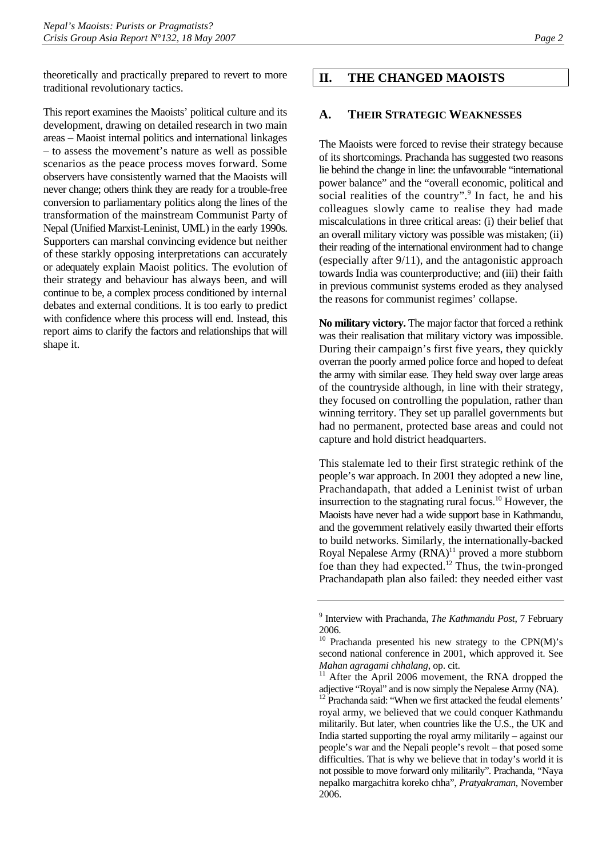<span id="page-5-0"></span>theoretically and practically prepared to revert to more traditional revolutionary tactics.

This report examines the Maoists' political culture and its development, drawing on detailed research in two main areas – Maoist internal politics and international linkages – to assess the movement's nature as well as possible scenarios as the peace process moves forward. Some observers have consistently warned that the Maoists will never change; others think they are ready for a trouble-free conversion to parliamentary politics along the lines of the transformation of the mainstream Communist Party of Nepal (Unified Marxist-Leninist, UML) in the early 1990s. Supporters can marshal convincing evidence but neither of these starkly opposing interpretations can accurately or adequately explain Maoist politics. The evolution of their strategy and behaviour has always been, and will continue to be, a complex process conditioned by internal debates and external conditions. It is too early to predict with confidence where this process will end. Instead, this report aims to clarify the factors and relationships that will shape it.

#### **II. THE CHANGED MAOISTS**

#### **A. THEIR STRATEGIC WEAKNESSES**

The Maoists were forced to revise their strategy because of its shortcomings. Prachanda has suggested two reasons lie behind the change in line: the unfavourable "international power balance" and the "overall economic, political and socialrealities of the country".<sup>9</sup> In fact, he and his colleagues slowly came to realise they had made miscalculations in three critical areas: (i) their belief that an overall military victory was possible was mistaken; (ii) their reading of the international environment had to change (especially after 9/11), and the antagonistic approach towards India was counterproductive; and (iii) their faith in previous communist systems eroded as they analysed the reasons for communist regimes' collapse.

**No military victory.** The major factor that forced a rethink was their realisation that military victory was impossible. During their campaign's first five years, they quickly overran the poorly armed police force and hoped to defeat the army with similar ease. They held sway over large areas of the countryside although, in line with their strategy, they focused on controlling the population, rather than winning territory. They set up parallel governments but had no permanent, protected base areas and could not capture and hold district headquarters.

This stalemate led to their first strategic rethink of the people's war approach. In 2001 they adopted a new line, Prachandapath, that added a Leninist twist of urban insurrection to the stagnating rural focus.<sup>10</sup> However, the Maoists have never had a wide support base in Kathmandu, and the government relatively easily thwarted their efforts to build networks. Similarly, the internationally-backed Royal Nepalese Army  $(RNA)^{11}$  proved a more stubborn foe than they had expected.<sup>12</sup> Thus, the twin-pronged Prachandapath plan also failed: they needed either vast

<span id="page-5-1"></span><sup>9</sup> Interview with Prachanda, *The Kathmandu Post*, 7 February 2006.

<span id="page-5-2"></span><sup>10</sup> Prachanda presented his new strategy to the CPN(M)'s second national conference in 2001, which approved it. See

<span id="page-5-3"></span>*Mahan agragami chhalang*, op. cit.<br><sup>11</sup> After the April 2006 movement, the RNA dropped the adjective "Royal" and is now simply the Nepalese Army (NA).

<span id="page-5-4"></span><sup>&</sup>lt;sup>12</sup> Prachanda said: "When we first attacked the feudal elements' royal army, we believed that we could conquer Kathmandu militarily. But later, when countries like the U.S., the UK and India started supporting the royal army militarily – against our people's war and the Nepali people's revolt – that posed some difficulties. That is why we believe that in today's world it is not possible to move forward only militarily". Prachanda, "Naya nepalko margachitra koreko chha", *Pratyakraman*, November 2006.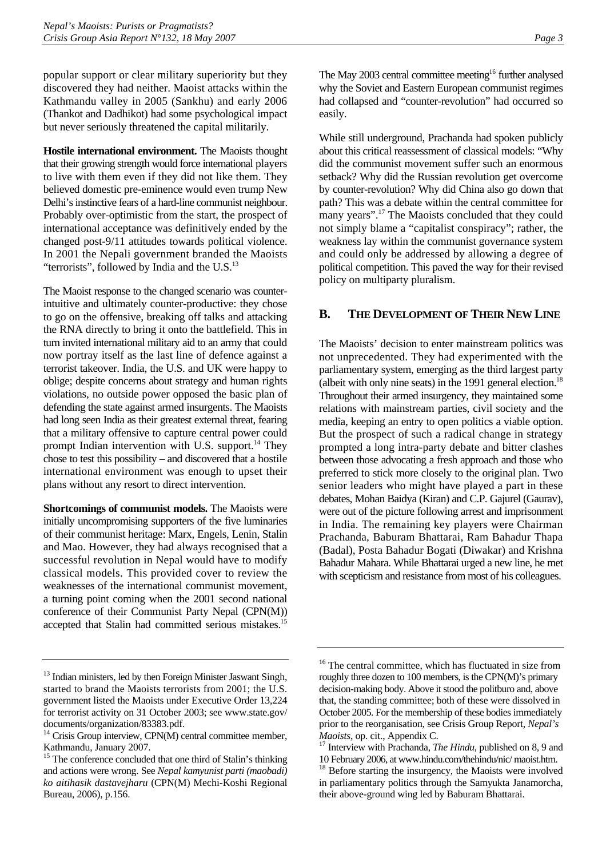<span id="page-6-0"></span>popular support or clear military superiority but they discovered they had neither. Maoist attacks within the Kathmandu valley in 2005 (Sankhu) and early 2006 (Thankot and Dadhikot) had some psychological impact but never seriously threatened the capital militarily.

**Hostile international environment.** The Maoists thought that their growing strength would force international players to live with them even if they did not like them. They believed domestic pre-eminence would even trump New Delhi's instinctive fears of a hard-line communist neighbour. Probably over-optimistic from the start, the prospect of international acceptance was definitively ended by the changed post-9/11 attitudes towards political violence. In 2001 the Nepali government branded the Maoists "terrorists", followed by India and the  $U.S.<sup>13</sup>$  $U.S.<sup>13</sup>$  $U.S.<sup>13</sup>$ 

The Maoist response to the changed scenario was counterintuitive and ultimately counter-productive: they chose to go on the offensive, breaking off talks and attacking the RNA directly to bring it onto the battlefield. This in turn invited international military aid to an army that could now portray itself as the last line of defence against a terrorist takeover. India, the U.S. and UK were happy to oblige; despite concerns about strategy and human rights violations, no outside power opposed the basic plan of defending the state against armed insurgents. The Maoists had long seen India as their greatest external threat, fearing that a military offensive to capture central power could prompt Indian intervention with U.S. support. $^{14}$  They chose to test this possibility – and discovered that a hostile international environment was enough to upset their plans without any resort to direct intervention.

**Shortcomings of communist models.** The Maoists were initially uncompromising supporters of the five luminaries of their communist heritage: Marx, Engels, Lenin, Stalin and Mao. However, they had always recognised that a successful revolution in Nepal would have to modify classical models. This provided cover to review the weaknesses of the international communist movement, a turning point coming when the 2001 second national conference of their Communist Party Nepal (CPN(M)) accepted that Stalin had committed serious mistakes.<sup>15</sup>

The May 2003 central committee meeting<sup>16</sup> further analysed why the Soviet and Eastern European communist regimes had collapsed and "counter-revolution" had occurred so easily.

While still underground, Prachanda had spoken publicly about this critical reassessment of classical models: "Why did the communist movement suffer such an enormous setback? Why did the Russian revolution get overcome by counter-revolution? Why did China also go down that path? This was a debate within the central committee for many years".<sup>17</sup> The Maoists concluded that they could not simply blame a "capitalist conspiracy"; rather, the weakness lay within the communist governance system and could only be addressed by allowing a degree of political competition. This paved the way for their revised policy on multiparty pluralism.

### **B. THE DEVELOPMENT OF THEIR NEW LINE**

The Maoists' decision to enter mainstream politics was not unprecedented. They had experimented with the parliamentary system, emerging as the third largest party (albeit with only nine seats) in the 1991 general election.<sup>18</sup> Throughout their armed insurgency, they maintained some relations with mainstream parties, civil society and the media, keeping an entry to open politics a viable option. But the prospect of such a radical change in strategy prompted a long intra-party debate and bitter clashes between those advocating a fresh approach and those who preferred to stick more closely to the original plan. Two senior leaders who might have played a part in these debates, Mohan Baidya (Kiran) and C.P. Gajurel (Gaurav), were out of the picture following arrest and imprisonment in India. The remaining key players were Chairman Prachanda, Baburam Bhattarai, Ram Bahadur Thapa (Badal), Posta Bahadur Bogati (Diwakar) and Krishna Bahadur Mahara. While Bhattarai urged a new line, he met with scepticism and resistance from most of his colleagues.

<span id="page-6-1"></span><sup>&</sup>lt;sup>13</sup> Indian ministers, led by then Foreign Minister Jaswant Singh, started to brand the Maoists terrorists from 2001; the U.S. government listed the Maoists under Executive Order 13,224 for terrorist activity on 31 October 2003; see www.state.gov/ documents/organization/83383.pdf.

<span id="page-6-2"></span> $14$  Crisis Group interview, CPN(M) central committee member, Kathmandu, January 2007.

<span id="page-6-3"></span><sup>&</sup>lt;sup>15</sup> The conference concluded that one third of Stalin's thinking and actions were wrong. See *Nepal kamyunist parti (maobadi) ko aitihasik dastavejharu* (CPN(M) Mechi-Koshi Regional Bureau, 2006), p.156.

<span id="page-6-4"></span><sup>&</sup>lt;sup>16</sup> The central committee, which has fluctuated in size from roughly three dozen to 100 members, is the CPN(M)'s primary decision-making body. Above it stood the politburo and, above that, the standing committee; both of these were dissolved in October 2005. For the membership of these bodies immediately prior to the reorganisation, see Crisis Group Report, *Nepal's Maoists*, op. cit., Appendix C.<br><sup>17</sup> Interview with Prachanda, *The Hindu*, published on 8, 9 and

<span id="page-6-5"></span><sup>10</sup> February 2006, at www.hindu.com/thehindu/nic/ maoist.htm.<br><sup>18</sup> Referentesting the insurange the Magista ware involved

<span id="page-6-6"></span><sup>18</sup> Before starting the insurgency, the Maoists were involved in parliamentary politics through the Samyukta Janamorcha, their above-ground wing led by Baburam Bhattarai.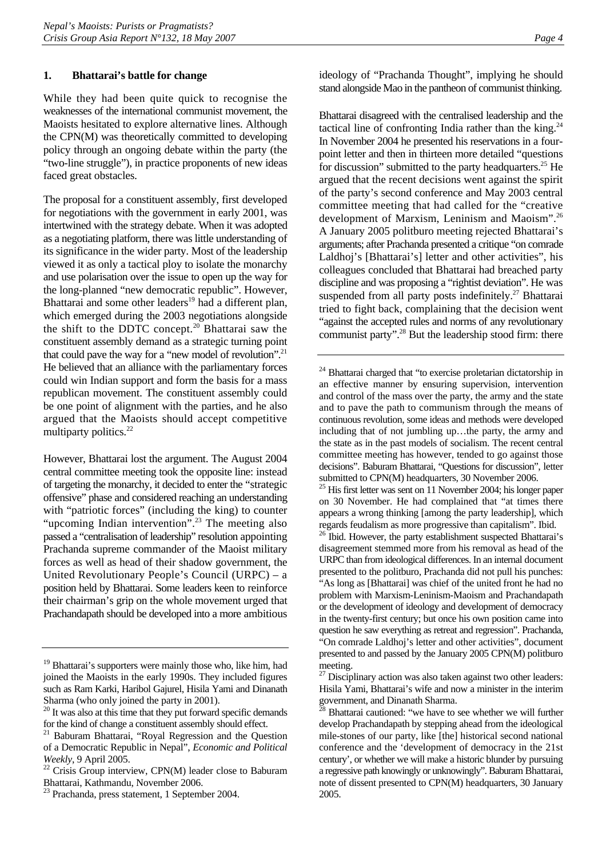#### <span id="page-7-0"></span>**1. Bhattarai's battle for change**

While they had been quite quick to recognise the weaknesses of the international communist movement, the Maoists hesitated to explore alternative lines. Although the CPN(M) was theoretically committed to developing policy through an ongoing debate within the party (the "two-line struggle"), in practice proponents of new ideas faced great obstacles.

The proposal for a constituent assembly, first developed for negotiations with the government in early 2001, was intertwined with the strategy debate. When it was adopted as a negotiating platform, there was little understanding of its significance in the wider party. Most of the leadership viewed it as only a tactical ploy to isolate the monarchy and use polarisation over the issue to open up the way for the long-planned "new democratic republic". However, Bhattarai and some other leaders<sup>19</sup> had a different plan, which emerged during the 2003 negotiations alongside the shift to the DDTC concept.[20](#page-7-2) Bhattarai saw the constituent assembly demand as a strategic turning point that could pave the way for a "new model of revolution".<sup>21</sup> He believed that an alliance with the parliamentary forces could win Indian support and form the basis for a mass republican movement. The constituent assembly could be one point of alignment with the parties, and he also argued that the Maoists should accept competitive multiparty politics. $22$ 

However, Bhattarai lost the argument. The August 2004 central committee meeting took the opposite line: instead of targeting the monarchy, it decided to enter the "strategic offensive" phase and considered reaching an understanding with "patriotic forces" (including the king) to counter "upcoming Indian intervention".<sup>23</sup> The meeting also passed a "centralisation of leadership" resolution appointing Prachanda supreme commander of the Maoist military forces as well as head of their shadow government, the United Revolutionary People's Council (URPC) – a position held by Bhattarai. Some leaders keen to reinforce their chairman's grip on the whole movement urged that Prachandapath should be developed into a more ambitious

ideology of "Prachanda Thought", implying he should stand alongside Mao in the pantheon of communist thinking.

Bhattarai disagreed with the centralised leadership and the tactical line of confronting India rather than the king. $^{24}$ In November 2004 he presented his reservations in a fourpoint letter and then in thirteen more detailed "questions for discussion" submitted to the party headquarters.<sup>25</sup> He argued that the recent decisions went against the spirit of the party's second conference and May 2003 central committee meeting that had called for the "creative development of Marxism, Leninism and Maoism"[.26](#page-7-8) A January 2005 politburo meeting rejected Bhattarai's arguments; after Prachanda presented a critique "on comrade Laldhoj's [Bhattarai's] letter and other activities", his colleagues concluded that Bhattarai had breached party discipline and was proposing a "rightist deviation". He was suspended from all party posts indefinitely.<sup>27</sup> Bhattarai tried to fight back, complaining that the decision went "against the accepted rules and norms of any revolutionary communist party".<sup>28</sup> But the leadership stood firm: there

<span id="page-7-6"></span><sup>24</sup> Bhattarai charged that "to exercise proletarian dictatorship in an effective manner by ensuring supervision, intervention and control of the mass over the party, the army and the state and to pave the path to communism through the means of continuous revolution, some ideas and methods were developed including that of not jumbling up…the party, the army and the state as in the past models of socialism. The recent central committee meeting has however, tended to go against those decisions". Baburam Bhattarai, "Questions for discussion", letter submitted to CPN(M) headquarters, 30 November 2006.

<span id="page-7-7"></span>25 His first letter was sent on 11 November 2004; his longer paper on 30 November. He had complained that "at times there appears a wrong thinking [among the party leadership], which regards feudalism as more progressive than capitalism". Ibid.

<span id="page-7-8"></span><sup>26</sup> Ibid. However, the party establishment suspected Bhattarai's disagreement stemmed more from his removal as head of the URPC than from ideological differences. In an internal document presented to the politburo, Prachanda did not pull his punches: "As long as [Bhattarai] was chief of the united front he had no problem with Marxism-Leninism-Maoism and Prachandapath or the development of ideology and development of democracy in the twenty-first century; but once his own position came into question he saw everything as retreat and regression". Prachanda, "On comrade Laldhoj's letter and other activities", document presented to and passed by the January 2005 CPN(M) politburo meeting.

<span id="page-7-1"></span><sup>&</sup>lt;sup>19</sup> Bhattarai's supporters were mainly those who, like him, had joined the Maoists in the early 1990s. They included figures such as Ram Karki, Haribol Gajurel, Hisila Yami and Dinanath Sharma (who only joined the party in 2001).

<span id="page-7-2"></span><sup>&</sup>lt;sup>20</sup> It was also at this time that they put forward specific demands for the kind of change a constituent assembly should effect.

<span id="page-7-3"></span><sup>21</sup> Baburam Bhattarai, "Royal Regression and the Question of a Democratic Republic in Nepal", *Economic and Political Weekly*, 9 April 2005.<br><sup>22</sup> Crisis Group interview, CPN(M) leader close to Baburam

<span id="page-7-4"></span>Bhattarai, Kathmandu, November 2006.

<span id="page-7-5"></span><sup>23</sup> Prachanda, press statement, 1 September 2004.

<span id="page-7-9"></span> $27$  Disciplinary action was also taken against two other leaders: Hisila Yami, Bhattarai's wife and now a minister in the interim government, and Dinanath Sharma.

<span id="page-7-10"></span> $^{\overline{28}}$  Bhattarai cautioned: "we have to see whether we will further develop Prachandapath by stepping ahead from the ideological mile-stones of our party, like [the] historical second national conference and the 'development of democracy in the 21st century', or whether we will make a historic blunder by pursuing a regressive path knowingly or unknowingly". Baburam Bhattarai, note of dissent presented to CPN(M) headquarters, 30 January 2005.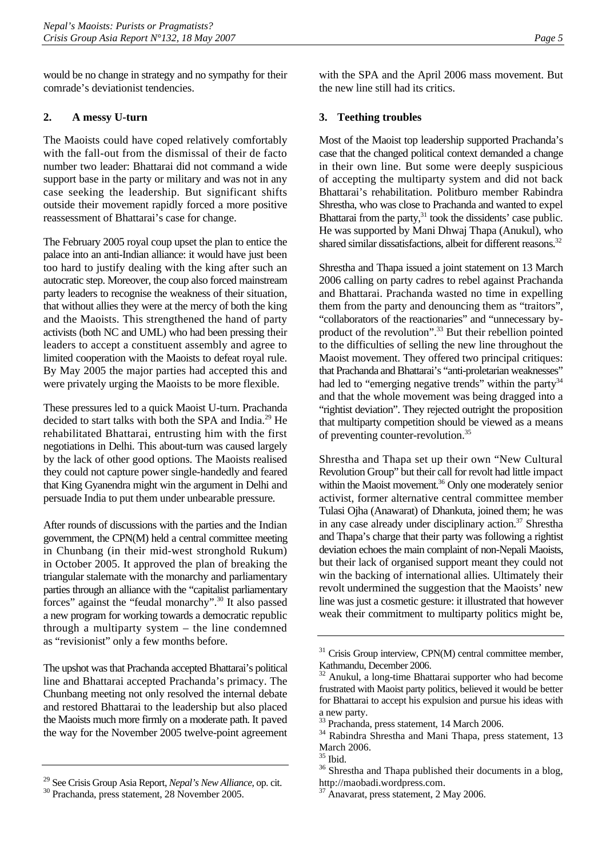<span id="page-8-0"></span>would be no change in strategy and no sympathy for their comrade's deviationist tendencies.

### **2. A messy U-turn**

The Maoists could have coped relatively comfortably with the fall-out from the dismissal of their de facto number two leader: Bhattarai did not command a wide support base in the party or military and was not in any case seeking the leadership. But significant shifts outside their movement rapidly forced a more positive reassessment of Bhattarai's case for change.

The February 2005 royal coup upset the plan to entice the palace into an anti-Indian alliance: it would have just been too hard to justify dealing with the king after such an autocratic step. Moreover, the coup also forced mainstream party leaders to recognise the weakness of their situation, that without allies they were at the mercy of both the king and the Maoists. This strengthened the hand of party activists (both NC and UML) who had been pressing their leaders to accept a constituent assembly and agree to limited cooperation with the Maoists to defeat royal rule. By May 2005 the major parties had accepted this and were privately urging the Maoists to be more flexible.

These pressures led to a quick Maoist U-turn. Prachanda decided to start talks with both the SPA and India.<sup>29</sup> He rehabilitated Bhattarai, entrusting him with the first negotiations in Delhi. This about-turn was caused largely by the lack of other good options. The Maoists realised they could not capture power single-handedly and feared that King Gyanendra might win the argument in Delhi and persuade India to put them under unbearable pressure.

After rounds of discussions with the parties and the Indian government, the CPN(M) held a central committee meeting in Chunbang (in their mid-west stronghold Rukum) in October 2005. It approved the plan of breaking the triangular stalemate with the monarchy and parliamentary parties through an alliance with the "capitalist parliamentary forces" against the "feudal monarchy".[30 I](#page-8-2)t also passed a new program for working towards a democratic republic through a multiparty system – the line condemned as "revisionist" only a few months before.

The upshot was that Prachanda accepted Bhattarai's political line and Bhattarai accepted Prachanda's primacy. The Chunbang meeting not only resolved the internal debate and restored Bhattarai to the leadership but also placed the Maoists much more firmly on a moderate path. It paved the way for the November 2005 twelve-point agreement with the SPA and the April 2006 mass movement. But the new line still had its critics.

### **3. Teething troubles**

Most of the Maoist top leadership supported Prachanda's case that the changed political context demanded a change in their own line. But some were deeply suspicious of accepting the multiparty system and did not back Bhattarai's rehabilitation. Politburo member Rabindra Shrestha, who was close to Prachanda and wanted to expel Bhattarai from the party, $31$  took the dissidents' case public. He was supported by Mani Dhwaj Thapa (Anukul), who shared similar dissatisfactions, albeit for different reasons.<sup>32</sup>

Shrestha and Thapa issued a joint statement on 13 March 2006 calling on party cadres to rebel against Prachanda and Bhattarai. Prachanda wasted no time in expelling them from the party and denouncing them as "traitors", "collaborators of the reactionaries" and "unnecessary byproduct of the revolution".[33 B](#page-8-5)ut their rebellion pointed to the difficulties of selling the new line throughout the Maoist movement. They offered two principal critiques: that Prachanda and Bhattarai's "anti-proletarian weaknesses" had led to "emerging negative trends" within the party<sup>34</sup> and that the whole movement was being dragged into a "rightist deviation". They rejected outright the proposition that multiparty competition should be viewed as a means of preventing counter-revolution.[35](#page-8-7)

Shrestha and Thapa set up their own "New Cultural Revolution Group" but their call for revolt had little impact within the Maoist movement.<sup>36</sup> Only one moderately senior activist, former alternative central committee member Tulasi Ojha (Anawarat) of Dhankuta, joined them; he was in any case already under disciplinary action.<sup>37</sup> Shrestha and Thapa's charge that their party was following a rightist deviation echoes the main complaint of non-Nepali Maoists, but their lack of organised support meant they could not win the backing of international allies. Ultimately their revolt undermined the suggestion that the Maoists' new line was just a cosmetic gesture: it illustrated that however weak their commitment to multiparty politics might be,

<span id="page-8-1"></span><sup>&</sup>lt;sup>29</sup> See Crisis Group Asia Report, *Nepal's New Alliance*, op. cit. <sup>30</sup> Prachanda, press statement, 28 November 2005.

<span id="page-8-2"></span>

<span id="page-8-3"></span> $31$  Crisis Group interview, CPN(M) central committee member, Kathmandu, December 2006.

<span id="page-8-4"></span> $32$  Anukul, a long-time Bhattarai supporter who had become frustrated with Maoist party politics, believed it would be better for Bhattarai to accept his expulsion and pursue his ideas with a new party.

<span id="page-8-5"></span><sup>&</sup>lt;sup>33</sup> Prachanda, press statement, 14 March 2006.

<span id="page-8-6"></span><sup>34</sup> Rabindra Shrestha and Mani Thapa, press statement, 13 March 2006.

<span id="page-8-7"></span><sup>35</sup> Ibid.

<span id="page-8-8"></span><sup>&</sup>lt;sup>36</sup> Shrestha and Thapa published their documents in a blog,

<span id="page-8-9"></span>http://maobadi.wordpress.com.<br><sup>37</sup> Anavarat, press statement, 2 May 2006.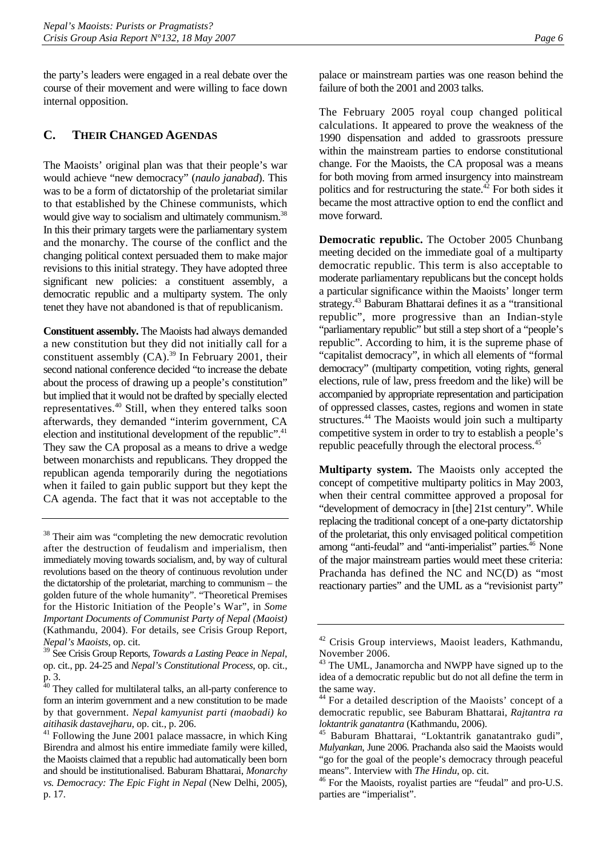<span id="page-9-0"></span>the party's leaders were engaged in a real debate over the course of their movement and were willing to face down internal opposition.

# **C. THEIR CHANGED AGENDAS**

The Maoists' original plan was that their people's war would achieve "new democracy" (*naulo janabad*). This was to be a form of dictatorship of the proletariat similar to that established by the Chinese communists, which would give way to socialism and ultimately communism.<sup>38</sup> In this their primary targets were the parliamentary system and the monarchy. The course of the conflict and the changing political context persuaded them to make major revisions to this initial strategy. They have adopted three significant new policies: a constituent assembly, a democratic republic and a multiparty system. The only tenet they have not abandoned is that of republicanism.

**Constituent assembly.** The Maoists had always demanded a new constitution but they did not initially call for a constituent assembly  $(CA)$ .<sup>39</sup> In February 2001, their second national conference decided "to increase the debate about the process of drawing up a people's constitution" but implied that it would not be drafted by specially elected representatives.[40 S](#page-9-3)till, when they entered talks soon afterwards, they demanded "interim government, CA election and institutional development of the republic".<sup>41</sup> They saw the CA proposal as a means to drive a wedge between monarchists and republicans. They dropped the republican agenda temporarily during the negotiations when it failed to gain public support but they kept the CA agenda. The fact that it was not acceptable to the palace or mainstream parties was one reason behind the failure of both the 2001 and 2003 talks.

The February 2005 royal coup changed political calculations. It appeared to prove the weakness of the 1990 dispensation and added to grassroots pressure within the mainstream parties to endorse constitutional change. For the Maoists, the CA proposal was a means for both moving from armed insurgency into mainstream politics and for restructuring the state.<sup>42</sup> For both sides it became the most attractive option to end the conflict and move forward.

**Democratic republic.** The October 2005 Chunbang meeting decided on the immediate goal of a multiparty democratic republic. This term is also acceptable to moderate parliamentary republicans but the concept holds a particular significance within the Maoists' longer term strategy.<sup>43</sup> Baburam Bhattarai defines it as a "transitional republic", more progressive than an Indian-style "parliamentary republic" but still a step short of a "people's republic". According to him, it is the supreme phase of "capitalist democracy", in which all elements of "formal democracy" (multiparty competition, voting rights, general elections, rule of law, press freedom and the like) will be accompanied by appropriate representation and participation of oppressed classes, castes, regions and women in state structures.<sup>44</sup> The Maoists would join such a multiparty competitive system in order to try to establish a people's republic peacefully through the electoral process.<sup>[45](#page-9-8)</sup>

**Multiparty system.** The Maoists only accepted the concept of competitive multiparty politics in May 2003, when their central committee approved a proposal for "development of democracy in [the] 21st century". While replacing the traditional concept of a one-party dictatorship of the proletariat, this only envisaged political competition among "anti-feudal" and "anti-imperialist" parties.<sup>46</sup> None of the major mainstream parties would meet these criteria: Prachanda has defined the NC and NC(D) as "most reactionary parties" and the UML as a "revisionist party"

<span id="page-9-1"></span><sup>&</sup>lt;sup>38</sup> Their aim was "completing the new democratic revolution after the destruction of feudalism and imperialism, then immediately moving towards socialism, and, by way of cultural revolutions based on the theory of continuous revolution under the dictatorship of the proletariat, marching to communism – the golden future of the whole humanity". "Theoretical Premises for the Historic Initiation of the People's War", in *Some Important Documents of Communist Party of Nepal (Maoist)* (Kathmandu, 2004). For details, see Crisis Group Report, *Nepal's Maoists*, op. cit.

<span id="page-9-2"></span><sup>39</sup> See Crisis Group Reports, *Towards a Lasting Peace in Nepal*, op. cit., pp. 24-25 and *Nepal's Constitutional Process*, op. cit., p. 3.

<span id="page-9-3"></span><sup>&</sup>lt;sup>40</sup> They called for multilateral talks, an all-party conference to form an interim government and a new constitution to be made by that government. *Nepal kamyunist parti (maobadi) ko* 

<span id="page-9-4"></span>*aitihasik dastavejharu*, op. cit., p. 206.<br><sup>41</sup> Following the June 2001 palace massacre, in which King Birendra and almost his entire immediate family were killed, the Maoists claimed that a republic had automatically been born and should be institutionalised. Baburam Bhattarai, *Monarchy vs. Democracy: The Epic Fight in Nepal* (New Delhi, 2005), p. 17.

<span id="page-9-5"></span><sup>42</sup> Crisis Group interviews, Maoist leaders, Kathmandu, November 2006.

<span id="page-9-6"></span><sup>&</sup>lt;sup>43</sup> The UML, Janamorcha and NWPP have signed up to the idea of a democratic republic but do not all define the term in the same way.

<span id="page-9-7"></span><sup>44</sup> For a detailed description of the Maoists' concept of a democratic republic, see Baburam Bhattarai, *Rajtantra ra loktantrik ganatantra* (Kathmandu, 2006). 45 Baburam Bhattarai, "Loktantrik ganatantrako gudi",

<span id="page-9-8"></span>*Mulyankan*, June 2006. Prachanda also said the Maoists would "go for the goal of the people's democracy through peaceful

<span id="page-9-9"></span>means". Interview with *The Hindu*, op. cit.<br><sup>46</sup> For the Maoists, royalist parties are "feudal" and pro-U.S. parties are "imperialist".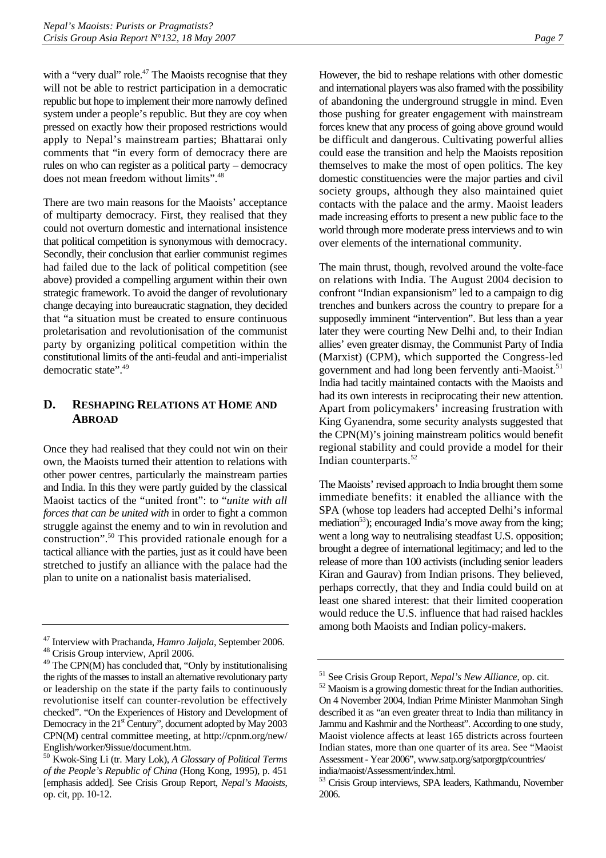<span id="page-10-0"></span>with a "very dual" role.<sup>47</sup> The Maoists recognise that they will not be able to restrict participation in a democratic republic but hope to implement their more narrowly defined system under a people's republic. But they are coy when pressed on exactly how their proposed restrictions would apply to Nepal's mainstream parties; Bhattarai only comments that "in every form of democracy there are rules on who can register as a political party – democracy does not mean freedom without limits".[48](#page-10-2)

There are two main reasons for the Maoists' acceptance of multiparty democracy. First, they realised that they could not overturn domestic and international insistence that political competition is synonymous with democracy. Secondly, their conclusion that earlier communist regimes had failed due to the lack of political competition (see above) provided a compelling argument within their own strategic framework. To avoid the danger of revolutionary change decaying into bureaucratic stagnation, they decided that "a situation must be created to ensure continuous proletarisation and revolutionisation of the communist party by organizing political competition within the constitutional limits of the anti-feudal and anti-imperialist democratic state".[49](#page-10-3)

# **D. RESHAPING RELATIONS AT HOME AND ABROAD**

Once they had realised that they could not win on their own, the Maoists turned their attention to relations with other power centres, particularly the mainstream parties and India. In this they were partly guided by the classical Maoist tactics of the "united front": to "*unite with all forces that can be united with* in order to fight a common struggle against the enemy and to win in revolution and construction".[50 T](#page-10-4)his provided rationale enough for a tactical alliance with the parties, just as it could have been stretched to justify an alliance with the palace had the plan to unite on a nationalist basis materialised.

However, the bid to reshape relations with other domestic and international players was also framed with the possibility of abandoning the underground struggle in mind. Even those pushing for greater engagement with mainstream forces knew that any process of going above ground would be difficult and dangerous. Cultivating powerful allies could ease the transition and help the Maoists reposition themselves to make the most of open politics. The key domestic constituencies were the major parties and civil society groups, although they also maintained quiet contacts with the palace and the army. Maoist leaders made increasing efforts to present a new public face to the world through more moderate press interviews and to win over elements of the international community.

The main thrust, though, revolved around the volte-face on relations with India. The August 2004 decision to confront "Indian expansionism" led to a campaign to dig trenches and bunkers across the country to prepare for a supposedly imminent "intervention". But less than a year later they were courting New Delhi and, to their Indian allies' even greater dismay, the Communist Party of India (Marxist) (CPM), which supported the Congress-led government and had long been fervently anti-Maoist.<sup>51</sup> India had tacitly maintained contacts with the Maoists and had its own interests in reciprocating their new attention. Apart from policymakers' increasing frustration with King Gyanendra, some security analysts suggested that the CPN(M)'s joining mainstream politics would benefit regional stability and could provide a model for their Indian counterparts. $52$ 

The Maoists' revised approach to India brought them some immediate benefits: it enabled the alliance with the SPA (whose top leaders had accepted Delhi's informal mediation<sup>53</sup>); encouraged India's move away from the king; went a long way to neutralising steadfast U.S. opposition; brought a degree of international legitimacy; and led to the release of more than 100 activists (including senior leaders Kiran and Gaurav) from Indian prisons. They believed, perhaps correctly, that they and India could build on at least one shared interest: that their limited cooperation would reduce the U.S. influence that had raised hackles among both Maoists and Indian policy-makers.

<span id="page-10-2"></span><span id="page-10-1"></span><sup>47</sup> Interview with Prachanda, *Hamro Jaljala*, September 2006. 48 Crisis Group interview, April 2006.

<span id="page-10-3"></span> $49$  The CPN( $\widehat{M}$ ) has concluded that, "Only by institutionalising the rights of the masses to install an alternative revolutionary party or leadership on the state if the party fails to continuously revolutionise itself can counter-revolution be effectively checked". "On the Experiences of History and Development of Democracy in the  $21<sup>st</sup>$  Century", document adopted by May 2003 CPN(M) central committee meeting, at http://cpnm.org/new/ English/worker/9issue/document.htm.

<span id="page-10-4"></span><sup>50</sup> Kwok-Sing Li (tr. Mary Lok), *A Glossary of Political Terms of the People's Republic of China* (Hong Kong, 1995), p. 451 [emphasis added]. See Crisis Group Report, *Nepal's Maoists*, op. cit, pp. 10-12.

<span id="page-10-5"></span><sup>&</sup>lt;sup>51</sup> See Crisis Group Report, *Nepal's New Alliance*, op. cit. <sup>52</sup> Maoism is a growing domestic threat for the Indian authorities.

<span id="page-10-6"></span>On 4 November 2004, Indian Prime Minister Manmohan Singh described it as "an even greater threat to India than militancy in Jammu and Kashmir and the Northeast". According to one study, Maoist violence affects at least 165 districts across fourteen Indian states, more than one quarter of its area. See "Maoist Assessment - Year 2006", www.satp.org/satporgtp/countries/ india/maoist/Assessment/index.html.

<span id="page-10-7"></span><sup>53</sup> Crisis Group interviews, SPA leaders, Kathmandu, November 2006.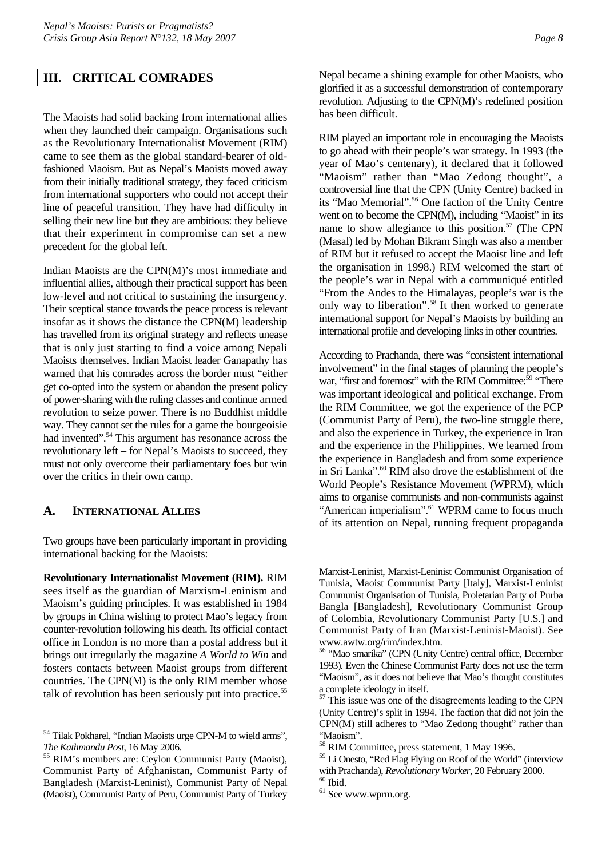#### <span id="page-11-0"></span>**III. CRITICAL COMRADES**

The Maoists had solid backing from international allies when they launched their campaign. Organisations such as the Revolutionary Internationalist Movement (RIM) came to see them as the global standard-bearer of oldfashioned Maoism. But as Nepal's Maoists moved away from their initially traditional strategy, they faced criticism from international supporters who could not accept their line of peaceful transition. They have had difficulty in selling their new line but they are ambitious: they believe that their experiment in compromise can set a new precedent for the global left.

Indian Maoists are the CPN(M)'s most immediate and influential allies, although their practical support has been low-level and not critical to sustaining the insurgency. Their sceptical stance towards the peace process is relevant insofar as it shows the distance the CPN(M) leadership has travelled from its original strategy and reflects unease that is only just starting to find a voice among Nepali Maoists themselves. Indian Maoist leader Ganapathy has warned that his comrades across the border must "either get co-opted into the system or abandon the present policy of power-sharing with the ruling classes and continue armed revolution to seize power. There is no Buddhist middle way. They cannot set the rules for a game the bourgeoisie had invented".<sup>54</sup> This argument has resonance across the revolutionary left – for Nepal's Maoists to succeed, they must not only overcome their parliamentary foes but win over the critics in their own camp.

### **A. INTERNATIONAL ALLIES**

Two groups have been particularly important in providing international backing for the Maoists:

**Revolutionary Internationalist Movement (RIM).** RIM sees itself as the guardian of Marxism-Leninism and Maoism's guiding principles. It was established in 1984 by groups in China wishing to protect Mao's legacy from counter-revolution following his death. Its official contact office in London is no more than a postal address but it brings out irregularly the magazine *A World to Win* and fosters contacts between Maoist groups from different countries. The CPN(M) is the only RIM member whose talk of revolution has been seriously put into practice.<sup>55</sup>

Nepal became a shining example for other Maoists, who glorified it as a successful demonstration of contemporary revolution. Adjusting to the CPN(M)'s redefined position has been difficult.

RIM played an important role in encouraging the Maoists to go ahead with their people's war strategy. In 1993 (the year of Mao's centenary), it declared that it followed "Maoism" rather than "Mao Zedong thought", a controversial line that the CPN (Unity Centre) backed in its "Mao Memorial".<sup>56</sup> One faction of the Unity Centre went on to become the CPN(M), including "Maoist" in its name to show allegiance to this position. $57$  (The CPN (Masal) led by Mohan Bikram Singh was also a member of RIM but it refused to accept the Maoist line and left the organisation in 1998.) RIM welcomed the start of the people's war in Nepal with a communiqué entitled "From the Andes to the Himalayas, people's war is the only way to liberation".<sup>58</sup> It then worked to generate international support for Nepal's Maoists by building an international profile and developing links in other countries.

According to Prachanda, there was "consistent international involvement" in the final stages of planning the people's war, "first and foremost" with the RIM Committee:<sup>59</sup> "There was important ideological and political exchange. From the RIM Committee, we got the experience of the PCP (Communist Party of Peru), the two-line struggle there, and also the experience in Turkey, the experience in Iran and the experience in the Philippines. We learned from the experience in Bangladesh and from some experience in Sri Lanka".<sup>60</sup> RIM also drove the establishment of the World People's Resistance Movement (WPRM), which aims to organise communists and non-communists against "American imperialism".<sup>61</sup> WPRM came to focus much of its attention on Nepal, running frequent propaganda

<span id="page-11-1"></span><sup>54</sup> Tilak Pokharel, "Indian Maoists urge CPN-M to wield arms",

<span id="page-11-2"></span>*The Kathmandu Post*, 16 May 2006. 55 RIM's members are: Ceylon Communist Party (Maoist), Communist Party of Afghanistan, Communist Party of Bangladesh (Marxist-Leninist), Communist Party of Nepal (Maoist), Communist Party of Peru, Communist Party of Turkey

Marxist-Leninist, Marxist-Leninist Communist Organisation of Tunisia, Maoist Communist Party [Italy], Marxist-Leninist Communist Organisation of Tunisia, Proletarian Party of Purba Bangla [Bangladesh], Revolutionary Communist Group of Colombia, Revolutionary Communist Party [U.S.] and Communist Party of Iran (Marxist-Leninist-Maoist). See www.awtw.org/rim/index.htm. 56 "Mao smarika" (CPN (Unity Centre) central office, December

<span id="page-11-3"></span><sup>1993).</sup> Even the Chinese Communist Party does not use the term "Maoism", as it does not believe that Mao's thought constitutes a complete ideology in itself.

<span id="page-11-4"></span> $57$  This issue was one of the disagreements leading to the CPN (Unity Centre)'s split in 1994. The faction that did not join the CPN(M) still adheres to "Mao Zedong thought" rather than "Maoism".

<span id="page-11-5"></span><sup>58</sup> RIM Committee, press statement, 1 May 1996.

<span id="page-11-6"></span><sup>59</sup> Li Onesto, "Red Flag Flying on Roof of the World" (interview with Prachanda), *Revolutionary Worker*, 20 February 2000. 60 Ibid.

<span id="page-11-7"></span>

<span id="page-11-8"></span><sup>61</sup> See www.wprm.org.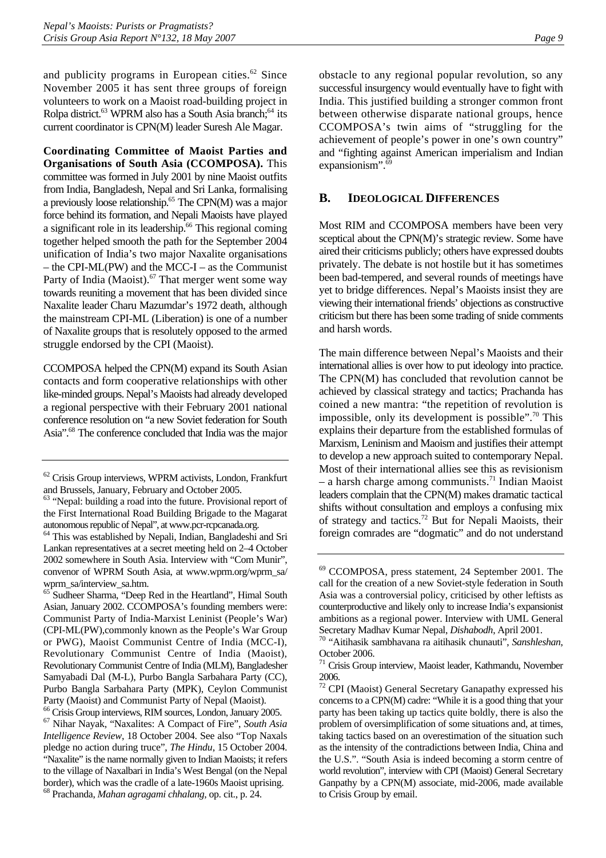<span id="page-12-0"></span>and publicity programs in European cities. $62$  Since November 2005 it has sent three groups of foreign volunteers to work on a Maoist road-building project in Rolpa district.<sup>63</sup> WPRM also has a South Asia branch;<sup>64</sup> its current coordinator is CPN(M) leader Suresh Ale Magar.

**Coordinating Committee of Maoist Parties and Organisations of South Asia (CCOMPOSA).** This committee was formed in July 2001 by nine Maoist outfits from India, Bangladesh, Nepal and Sri Lanka, formalising a previously loose relationship.[65 T](#page-12-4)he CPN(M) was a major force behind its formation, and Nepali Maoists have played a significant role in its leadership.<sup>66</sup> This regional coming together helped smooth the path for the September 2004 unification of India's two major Naxalite organisations – the CPI-ML(PW) and the MCC-I – as the Communist Party of India (Maoist). $67$  That merger went some way towards reuniting a movement that has been divided since Naxalite leader Charu Mazumdar's 1972 death, although the mainstream CPI-ML (Liberation) is one of a number of Naxalite groups that is resolutely opposed to the armed struggle endorsed by the CPI (Maoist).

CCOMPOSA helped the CPN(M) expand its South Asian contacts and form cooperative relationships with other like-minded groups. Nepal's Maoists had already developed a regional perspective with their February 2001 national conference resolution on "a new Soviet federation for South Asia".[68 T](#page-12-7)he conference concluded that India was the major

<span id="page-12-1"></span>62 Crisis Group interviews, WPRM activists, London, Frankfurt and Brussels, January, February and October 2005.

<span id="page-12-7"></span>68 Prachanda, *Mahan agragami chhalang*, op. cit., p. 24.

obstacle to any regional popular revolution, so any successful insurgency would eventually have to fight with India. This justified building a stronger common front between otherwise disparate national groups, hence CCOMPOSA's twin aims of "struggling for the achievement of people's power in one's own country" and "fighting against American imperialism and Indian expansionism". $69$ 

### **B. IDEOLOGICAL DIFFERENCES**

Most RIM and CCOMPOSA members have been very sceptical about the CPN(M)'s strategic review. Some have aired their criticisms publicly; others have expressed doubts privately. The debate is not hostile but it has sometimes been bad-tempered, and several rounds of meetings have yet to bridge differences. Nepal's Maoists insist they are viewing their international friends' objections as constructive criticism but there has been some trading of snide comments and harsh words.

The main difference between Nepal's Maoists and their international allies is over how to put ideology into practice. The CPN(M) has concluded that revolution cannot be achieved by classical strategy and tactics; Prachanda has coined a new mantra: "the repetition of revolution is impossible, only its development is possible".<sup>70</sup> This explains their departure from the established formulas of Marxism, Leninism and Maoism and justifies their attempt to develop a new approach suited to contemporary Nepal. Most of their international allies see this as revisionism – a harsh charge among communists.<sup>71</sup> Indian Maoist leaders complain that the CPN(M) makes dramatic tactical shifts without consultation and employs a confusing mix of strategy and tactics.<sup>72</sup> But for Nepali Maoists, their foreign comrades are "dogmatic" and do not understand

<span id="page-12-2"></span><sup>63 &</sup>quot;Nepal: building a road into the future. Provisional report of the First International Road Building Brigade to the Magarat autonomous republic of Nepal", at www.pcr-rcpcanada.org.

<span id="page-12-3"></span><sup>64</sup> This was established by Nepali, Indian, Bangladeshi and Sri Lankan representatives at a secret meeting held on 2–4 October 2002 somewhere in South Asia. Interview with "Com Munir", convenor of WPRM South Asia, at www.wprm.org/wprm\_sa/ wprm\_sa/interview\_sa.htm.

<span id="page-12-4"></span><sup>&</sup>lt;sup>65</sup> Sudheer Sharma, "Deep Red in the Heartland", Himal South Asian, January 2002. CCOMPOSA's founding members were: Communist Party of India-Marxist Leninist (People's War) (CPI-ML(PW),commonly known as the People's War Group or PWG), Maoist Communist Centre of India (MCC-I), Revolutionary Communist Centre of India (Maoist), Revolutionary Communist Centre of India (MLM), Bangladesher Samyabadi Dal (M-L), Purbo Bangla Sarbahara Party (CC), Purbo Bangla Sarbahara Party (MPK), Ceylon Communist Party (Maoist) and Communist Party of Nepal (Maoist).

<span id="page-12-6"></span><span id="page-12-5"></span><sup>66</sup> Crisis Group interviews, RIM sources, London, January 2005. 67 Nihar Nayak, "Naxalites: A Compact of Fire", *South Asia Intelligence Review*, 18 October 2004. See also "Top Naxals pledge no action during truce", *The Hindu*, 15 October 2004. "Naxalite" is the name normally given to Indian Maoists; it refers to the village of Naxalbari in India's West Bengal (on the Nepal border), which was the cradle of a late-1960s Maoist uprising.

<span id="page-12-8"></span><sup>69</sup> CCOMPOSA, press statement, 24 September 2001. The call for the creation of a new Soviet-style federation in South Asia was a controversial policy, criticised by other leftists as counterproductive and likely only to increase India's expansionist ambitions as a regional power. Interview with UML General Secretary Madhav Kumar Nepal, *Dishabodh*, April 2001. 70 "Aitihasik sambhavana ra aitihasik chunauti", *Sanshleshan*,

<span id="page-12-9"></span>October 2006.

<span id="page-12-10"></span><sup>71</sup> Crisis Group interview, Maoist leader, Kathmandu, November  $\frac{2006}{72}$  CF

<span id="page-12-11"></span><sup>72</sup> CPI (Maoist) General Secretary Ganapathy expressed his concerns to a CPN(M) cadre: "While it is a good thing that your party has been taking up tactics quite boldly, there is also the problem of oversimplification of some situations and, at times, taking tactics based on an overestimation of the situation such as the intensity of the contradictions between India, China and the U.S.". "South Asia is indeed becoming a storm centre of world revolution", interview with CPI (Maoist) General Secretary Ganpathy by a CPN(M) associate, mid-2006, made available to Crisis Group by email.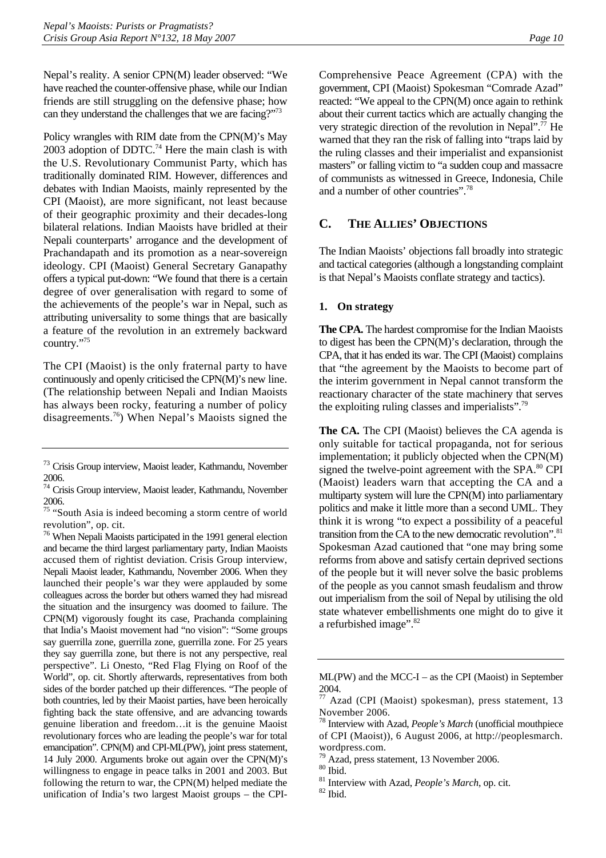<span id="page-13-0"></span>Nepal's reality. A senior CPN(M) leader observed: "We have reached the counter-offensive phase, while our Indian friends are still struggling on the defensive phase; how can they understand the challenges that we are facing?"[73](#page-13-1)

Policy wrangles with RIM date from the CPN(M)'s May 2003 adoption of DDTC.<sup>74</sup> Here the main clash is with the U.S. Revolutionary Communist Party, which has traditionally dominated RIM. However, differences and debates with Indian Maoists, mainly represented by the CPI (Maoist), are more significant, not least because of their geographic proximity and their decades-long bilateral relations. Indian Maoists have bridled at their Nepali counterparts' arrogance and the development of Prachandapath and its promotion as a near-sovereign ideology. CPI (Maoist) General Secretary Ganapathy offers a typical put-down: "We found that there is a certain degree of over generalisation with regard to some of the achievements of the people's war in Nepal, such as attributing universality to some things that are basically a feature of the revolution in an extremely backward country."[75](#page-13-3)

The CPI (Maoist) is the only fraternal party to have continuously and openly criticised the CPN(M)'s new line. (The relationship between Nepali and Indian Maoists has always been rocky, featuring a number of policy disagreements.[76\)](#page-13-4) When Nepal's Maoists signed the

<span id="page-13-4"></span>76 When Nepali Maoists participated in the 1991 general election and became the third largest parliamentary party, Indian Maoists accused them of rightist deviation. Crisis Group interview, Nepali Maoist leader, Kathmandu, November 2006. When they launched their people's war they were applauded by some colleagues across the border but others warned they had misread the situation and the insurgency was doomed to failure. The CPN(M) vigorously fought its case, Prachanda complaining that India's Maoist movement had "no vision": "Some groups say guerrilla zone, guerrilla zone, guerrilla zone. For 25 years they say guerrilla zone, but there is not any perspective, real perspective". Li Onesto, "Red Flag Flying on Roof of the World", op. cit. Shortly afterwards, representatives from both sides of the border patched up their differences. "The people of both countries, led by their Maoist parties, have been heroically fighting back the state offensive, and are advancing towards genuine liberation and freedom…it is the genuine Maoist revolutionary forces who are leading the people's war for total emancipation". CPN(M) and CPI-ML(PW), joint press statement, 14 July 2000. Arguments broke out again over the CPN(M)'s willingness to engage in peace talks in 2001 and 2003. But following the return to war, the CPN(M) helped mediate the unification of India's two largest Maoist groups – the CPI-

Comprehensive Peace Agreement (CPA) with the government, CPI (Maoist) Spokesman "Comrade Azad" reacted: "We appeal to the CPN(M) once again to rethink about their current tactics which are actually changing the very strategic direction of the revolution in Nepal".<sup>77</sup> He warned that they ran the risk of falling into "traps laid by the ruling classes and their imperialist and expansionist masters" or falling victim to "a sudden coup and massacre of communists as witnessed in Greece, Indonesia, Chile and a number of other countries".[78](#page-13-6) 

## **C. THE ALLIES' OBJECTIONS**

The Indian Maoists' objections fall broadly into strategic and tactical categories (although a longstanding complaint is that Nepal's Maoists conflate strategy and tactics).

#### **1. On strategy**

**The CPA.** The hardest compromise for the Indian Maoists to digest has been the CPN(M)'s declaration, through the CPA, that it has ended its war. The CPI (Maoist) complains that "the agreement by the Maoists to become part of the interim government in Nepal cannot transform the reactionary character of the state machinery that serves the exploiting ruling classes and imperialists"[.79](#page-13-7)

**The CA.** The CPI (Maoist) believes the CA agenda is only suitable for tactical propaganda, not for serious implementation; it publicly objected when the CPN(M) signed the twelve-point agreement with the SPA.<sup>80</sup> CPI (Maoist) leaders warn that accepting the CA and a multiparty system will lure the CPN(M) into parliamentary politics and make it little more than a second UML. They think it is wrong "to expect a possibility of a peaceful transition from the CA to the new democratic revolution".<sup>81</sup> Spokesman Azad cautioned that "one may bring some reforms from above and satisfy certain deprived sections of the people but it will never solve the basic problems of the people as you cannot smash feudalism and throw out imperialism from the soil of Nepal by utilising the old state whatever embellishments one might do to give it a refurbished image".[82](#page-13-10)

<span id="page-13-1"></span><sup>73</sup> Crisis Group interview, Maoist leader, Kathmandu, November 2006.

<span id="page-13-2"></span><sup>74</sup> Crisis Group interview, Maoist leader, Kathmandu, November 2006.

<span id="page-13-3"></span><sup>&</sup>lt;sup>75</sup> "South Asia is indeed becoming a storm centre of world revolution", op. cit.

ML(PW) and the MCC-I – as the CPI (Maoist) in September 2004.

<span id="page-13-5"></span>Azad (CPI (Maoist) spokesman), press statement, 13 November 2006.

<span id="page-13-6"></span>Interview with Azad, *People's March* (unofficial mouthpiece of CPI (Maoist)), 6 August 2006, at http://peoplesmarch. wordpress.com.

<span id="page-13-7"></span><sup>79</sup> Azad, press statement, 13 November 2006.

<span id="page-13-8"></span><sup>80</sup> Ibid.

<span id="page-13-9"></span><sup>&</sup>lt;sup>81</sup> Interview with Azad, *People's March*, op. cit. <sup>82</sup> Ibid.

<span id="page-13-10"></span>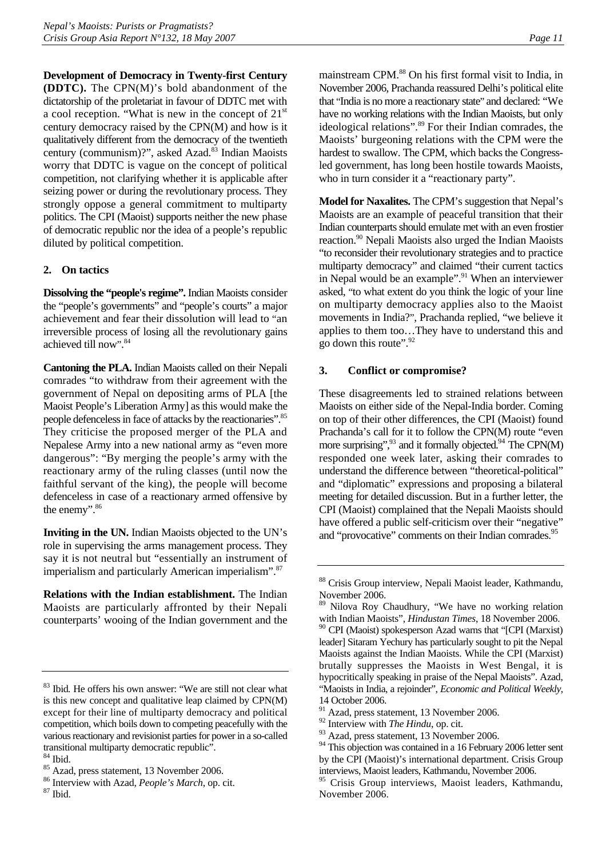<span id="page-14-0"></span>**Development of Democracy in Twenty-first Century (DDTC).** The CPN(M)'s bold abandonment of the dictatorship of the proletariat in favour of DDTC met with a cool reception. "What is new in the concept of  $21<sup>st</sup>$ century democracy raised by the CPN(M) and how is it qualitatively different from the democracy of the twentieth century (communism)?", asked Azad.<sup>83</sup> Indian Maoists worry that DDTC is vague on the concept of political competition, not clarifying whether it is applicable after seizing power or during the revolutionary process. They strongly oppose a general commitment to multiparty politics. The CPI (Maoist) supports neither the new phase of democratic republic nor the idea of a people's republic diluted by political competition.

#### **2. On tactics**

**Dissolving the "people's regime".** Indian Maoists consider the "people's governments" and "people's courts" a major achievement and fear their dissolution will lead to "an irreversible process of losing all the revolutionary gains achieved till now". [84](#page-14-2)

**Cantoning the PLA.** Indian Maoists called on their Nepali comrades "to withdraw from their agreement with the government of Nepal on depositing arms of PLA [the Maoist People's Liberation Army] as this would make the people defenceless in face of attacks by the reactionaries"[.85](#page-14-3) They criticise the proposed merger of the PLA and Nepalese Army into a new national army as "even more dangerous": "By merging the people's army with the reactionary army of the ruling classes (until now the faithful servant of the king), the people will become defenceless in case of a reactionary armed offensive by the enemy".<sup>[86](#page-14-4)</sup>

**Inviting in the UN.** Indian Maoists objected to the UN's role in supervising the arms management process. They say it is not neutral but "essentially an instrument of imperialism and particularly American imperialism".[87](#page-14-5)

**Relations with the Indian establishment.** The Indian Maoists are particularly affronted by their Nepali counterparts' wooing of the Indian government and the mainstream CPM.<sup>[88](#page-14-6)</sup> On his first formal visit to India, in November 2006, Prachanda reassured Delhi's political elite that "India is no more a reactionary state" and declared: "We have no working relations with the Indian Maoists, but only ideological relations".<sup>89</sup> For their Indian comrades, the Maoists' burgeoning relations with the CPM were the hardest to swallow. The CPM, which backs the Congressled government, has long been hostile towards Maoists, who in turn consider it a "reactionary party".

**Model for Naxalites.** The CPM's suggestion that Nepal's Maoists are an example of peaceful transition that their Indian counterparts should emulate met with an even frostier reaction.<sup>90</sup> Nepali Maoists also urged the Indian Maoists "to reconsider their revolutionary strategies and to practice multiparty democracy" and claimed "their current tactics in Nepal would be an example".<sup>91</sup> When an interviewer asked, "to what extent do you think the logic of your line on multiparty democracy applies also to the Maoist movements in India?", Prachanda replied, "we believe it applies to them too…They have to understand this and go down this route".<sup>[92](#page-14-10)</sup>

#### **3. Conflict or compromise?**

These disagreements led to strained relations between Maoists on either side of the Nepal-India border. Coming on top of their other differences, the CPI (Maoist) found Prachanda's call for it to follow the CPN(M) route "even more surprising",<sup>93</sup> and it formally objected.<sup>94</sup> The CPN(M) responded one week later, asking their comrades to understand the difference between "theoretical-political" and "diplomatic" expressions and proposing a bilateral meeting for detailed discussion. But in a further letter, the CPI (Maoist) complained that the Nepali Maoists should have offered a public self-criticism over their "negative" and "provocative" comments on their Indian comrades.<sup>[95](#page-14-13)</sup>

<span id="page-14-1"></span><sup>83</sup> Ibid*.* He offers his own answer: "We are still not clear what is this new concept and qualitative leap claimed by CPN(M) except for their line of multiparty democracy and political competition, which boils down to competing peacefully with the various reactionary and revisionist parties for power in a so-called transitional multiparty democratic republic".

<span id="page-14-2"></span> $^{84}$  Ibid.

<span id="page-14-3"></span><sup>&</sup>lt;sup>85</sup> Azad, press statement, 13 November 2006.

<span id="page-14-4"></span><sup>&</sup>lt;sup>86</sup> Interview with Azad, *People's March*, op. cit. <sup>87</sup> Ibid.

<span id="page-14-5"></span>

<span id="page-14-6"></span><sup>88</sup> Crisis Group interview, Nepali Maoist leader, Kathmandu, November 2006.

<span id="page-14-8"></span><span id="page-14-7"></span><sup>89</sup> Nilova Roy Chaudhury, "We have no working relation with Indian Maoists", *Hindustan Times*, 18 November 2006.  $90$  CPI (Maoist) spokesperson Azad warns that "[CPI (Marxist) leader] Sitaram Yechury has particularly sought to pit the Nepal Maoists against the Indian Maoists. While the CPI (Marxist) brutally suppresses the Maoists in West Bengal, it is hypocritically speaking in praise of the Nepal Maoists". Azad, "Maoists in India, a rejoinder", *Economic and Political Weekly*,

<sup>14</sup> October 2006.

<span id="page-14-9"></span><sup>&</sup>lt;sup>91</sup> Azad, press statement, 13 November 2006.

<span id="page-14-10"></span><sup>92</sup> Interview with *The Hindu*, op. cit.

<span id="page-14-11"></span><sup>&</sup>lt;sup>93</sup> Azad, press statement, 13 November 2006.

<span id="page-14-12"></span><sup>&</sup>lt;sup>94</sup> This objection was contained in a 16 February 2006 letter sent by the CPI (Maoist)'s international department. Crisis Group interviews, Maoist leaders, Kathmandu, November 2006.

<span id="page-14-13"></span><sup>&</sup>lt;sup>95</sup> Crisis Group interviews, Maoist leaders, Kathmandu, November 2006.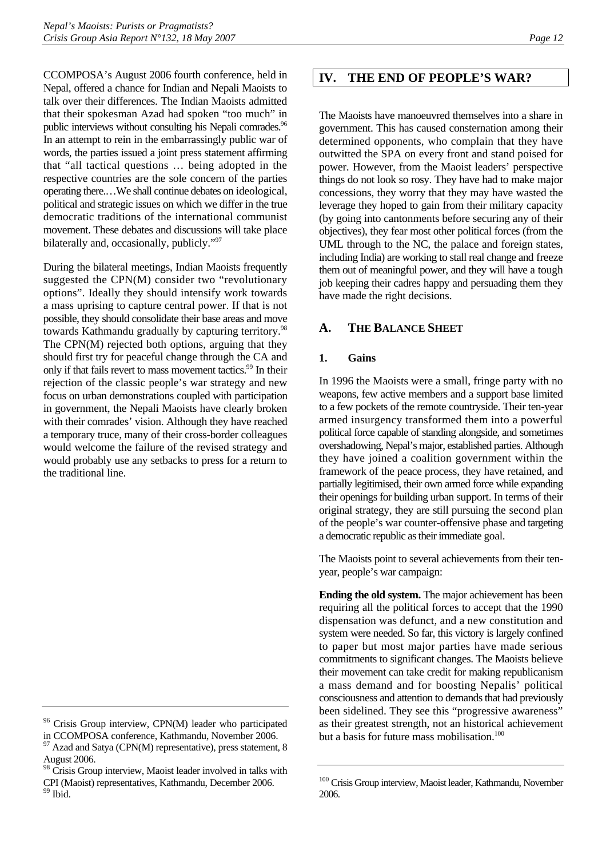<span id="page-15-0"></span>CCOMPOSA's August 2006 fourth conference, held in Nepal, offered a chance for Indian and Nepali Maoists to talk over their differences. The Indian Maoists admitted that their spokesman Azad had spoken "too much" in public interviews without consulting his Nepali comrades.<sup>96</sup> In an attempt to rein in the embarrassingly public war of words, the parties issued a joint press statement affirming that "all tactical questions … being adopted in the respective countries are the sole concern of the parties operating there.…We shall continue debates on ideological, political and strategic issues on which we differ in the true democratic traditions of the international communist movement. These debates and discussions will take place bilaterally and, occasionally, publicly."<sup>[97](#page-15-2)</sup>

During the bilateral meetings, Indian Maoists frequently suggested the CPN(M) consider two "revolutionary options". Ideally they should intensify work towards a mass uprising to capture central power. If that is not possible, they should consolidate their base areas and move towards Kathmandu gradually by capturing territory.<sup>98</sup> The CPN(M) rejected both options, arguing that they should first try for peaceful change through the CA and only if that fails revert to mass movement tactics.<sup>99</sup> In their rejection of the classic people's war strategy and new focus on urban demonstrations coupled with participation in government, the Nepali Maoists have clearly broken with their comrades' vision. Although they have reached a temporary truce, many of their cross-border colleagues would welcome the failure of the revised strategy and would probably use any setbacks to press for a return to the traditional line.

# **IV. THE END OF PEOPLE'S WAR?**

The Maoists have manoeuvred themselves into a share in government. This has caused consternation among their determined opponents, who complain that they have outwitted the SPA on every front and stand poised for power. However, from the Maoist leaders' perspective things do not look so rosy. They have had to make major concessions, they worry that they may have wasted the leverage they hoped to gain from their military capacity (by going into cantonments before securing any of their objectives), they fear most other political forces (from the UML through to the NC, the palace and foreign states, including India) are working to stall real change and freeze them out of meaningful power, and they will have a tough job keeping their cadres happy and persuading them they have made the right decisions.

## **A. THE BALANCE SHEET**

#### **1. Gains**

In 1996 the Maoists were a small, fringe party with no weapons, few active members and a support base limited to a few pockets of the remote countryside. Their ten-year armed insurgency transformed them into a powerful political force capable of standing alongside, and sometimes overshadowing, Nepal's major, established parties. Although they have joined a coalition government within the framework of the peace process, they have retained, and partially legitimised, their own armed force while expanding their openings for building urban support. In terms of their original strategy, they are still pursuing the second plan of the people's war counter-offensive phase and targeting a democratic republic as their immediate goal.

The Maoists point to several achievements from their tenyear, people's war campaign:

**Ending the old system.** The major achievement has been requiring all the political forces to accept that the 1990 dispensation was defunct, and a new constitution and system were needed. So far, this victory is largely confined to paper but most major parties have made serious commitments to significant changes. The Maoists believe their movement can take credit for making republicanism a mass demand and for boosting Nepalis' political consciousness and attention to demands that had previously been sidelined. They see this "progressive awareness" as their greatest strength, not an historical achievement but a basis for future mass mobilisation.<sup>[100](#page-15-5)</sup>

<span id="page-15-1"></span><sup>&</sup>lt;sup>96</sup> Crisis Group interview, CPN(M) leader who participated in CCOMPOSA conference, Kathmandu, November 2006.

<span id="page-15-2"></span> $97$  Azad and Satya (CPN(M) representative), press statement, 8 August 2006.

<span id="page-15-4"></span><span id="page-15-3"></span><sup>&</sup>lt;sup>98</sup> Crisis Group interview, Maoist leader involved in talks with CPI (Maoist) representatives, Kathmandu, December 2006. 99 Ibid.

<span id="page-15-5"></span><sup>100</sup> Crisis Group interview, Maoist leader, Kathmandu, November 2006.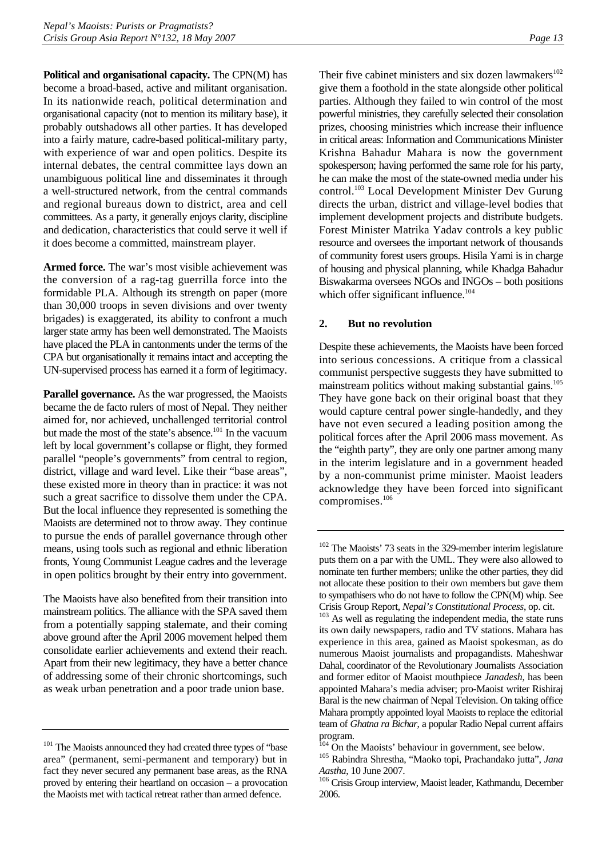<span id="page-16-0"></span>**Political and organisational capacity.** The CPN(M) has become a broad-based, active and militant organisation. In its nationwide reach, political determination and organisational capacity (not to mention its military base), it probably outshadows all other parties. It has developed into a fairly mature, cadre-based political-military party, with experience of war and open politics. Despite its internal debates, the central committee lays down an unambiguous political line and disseminates it through a well-structured network, from the central commands and regional bureaus down to district, area and cell committees. As a party, it generally enjoys clarity, discipline and dedication, characteristics that could serve it well if it does become a committed, mainstream player.

**Armed force.** The war's most visible achievement was the conversion of a rag-tag guerrilla force into the formidable PLA. Although its strength on paper (more than 30,000 troops in seven divisions and over twenty brigades) is exaggerated, its ability to confront a much larger state army has been well demonstrated. The Maoists have placed the PLA in cantonments under the terms of the CPA but organisationally it remains intact and accepting the UN-supervised process has earned it a form of legitimacy.

**Parallel governance.** As the war progressed, the Maoists became the de facto rulers of most of Nepal. They neither aimed for, nor achieved, unchallenged territorial control but made the most of the state's absence.<sup>101</sup> In the vacuum left by local government's collapse or flight, they formed parallel "people's governments" from central to region, district, village and ward level. Like their "base areas", these existed more in theory than in practice: it was not such a great sacrifice to dissolve them under the CPA. But the local influence they represented is something the Maoists are determined not to throw away. They continue to pursue the ends of parallel governance through other means, using tools such as regional and ethnic liberation fronts, Young Communist League cadres and the leverage in open politics brought by their entry into government.

The Maoists have also benefited from their transition into mainstream politics. The alliance with the SPA saved them from a potentially sapping stalemate, and their coming above ground after the April 2006 movement helped them consolidate earlier achievements and extend their reach. Apart from their new legitimacy, they have a better chance of addressing some of their chronic shortcomings, such as weak urban penetration and a poor trade union base.

Their five cabinet ministers and six dozen lawmakers<sup>102</sup> give them a foothold in the state alongside other political parties. Although they failed to win control of the most powerful ministries, they carefully selected their consolation prizes, choosing ministries which increase their influence in critical areas: Information and Communications Minister Krishna Bahadur Mahara is now the government spokesperson; having performed the same role for his party, he can make the most of the state-owned media under his control.<sup>103</sup> Local Development Minister Dev Gurung directs the urban, district and village-level bodies that implement development projects and distribute budgets. Forest Minister Matrika Yadav controls a key public resource and oversees the important network of thousands of community forest users groups. Hisila Yami is in charge of housing and physical planning, while Khadga Bahadur Biswakarma oversees NGOs and INGOs – both positions which offer significant influence.<sup>[104](#page-16-4)</sup>

#### **2. But no revolution**

Despite these achievements, the Maoists have been forced into serious concessions. A critique from a classical communist perspective suggests they have submitted to mainstream politics without making substantial gains.<sup>105</sup> They have gone back on their original boast that they would capture central power single-handedly, and they have not even secured a leading position among the political forces after the April 2006 mass movement. As the "eighth party", they are only one partner among many in the interim legislature and in a government headed by a non-communist prime minister. Maoist leaders acknowledge they have been forced into significant compromises.<sup>[106](#page-16-6)</sup>

<span id="page-16-1"></span><sup>&</sup>lt;sup>101</sup> The Maoists announced they had created three types of "base" area" (permanent, semi-permanent and temporary) but in fact they never secured any permanent base areas, as the RNA proved by entering their heartland on occasion – a provocation the Maoists met with tactical retreat rather than armed defence.

<span id="page-16-2"></span><sup>&</sup>lt;sup>102</sup> The Maoists' 73 seats in the 329-member interim legislature puts them on a par with the UML. They were also allowed to nominate ten further members; unlike the other parties, they did not allocate these position to their own members but gave them to sympathisers who do not have to follow the CPN(M) whip. See Crisis Group Report, *Nepal's Constitutional Process*, op. cit. 103 As well as regulating the independent media, the state runs

<span id="page-16-3"></span>its own daily newspapers, radio and TV stations. Mahara has experience in this area, gained as Maoist spokesman, as do numerous Maoist journalists and propagandists. Maheshwar Dahal, coordinator of the Revolutionary Journalists Association and former editor of Maoist mouthpiece *Janadesh*, has been appointed Mahara's media adviser; pro-Maoist writer Rishiraj Baral is the new chairman of Nepal Television. On taking office Mahara promptly appointed loyal Maoists to replace the editorial team of *Ghatna ra Bichar*, a popular Radio Nepal current affairs program.

<span id="page-16-4"></span><sup>104</sup> On the Maoists' behaviour in government, see below. 105 Rabindra Shrestha, "Maoko topi, Prachandako jutta", *Jana* 

<span id="page-16-6"></span><span id="page-16-5"></span>*Aastha*, 10 June 2007.<br><sup>106</sup> Crisis Group interview, Maoist leader, Kathmandu, December 2006.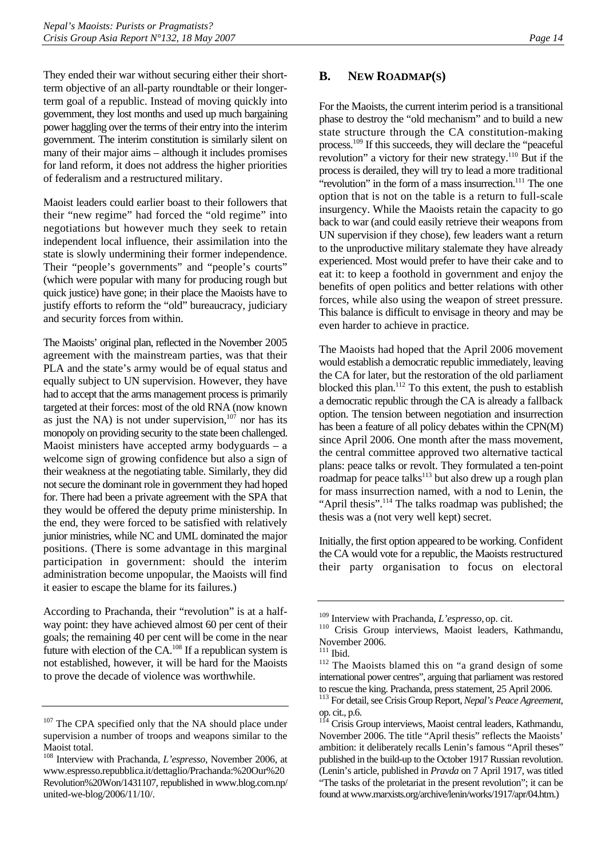<span id="page-17-0"></span>They ended their war without securing either their shortterm objective of an all-party roundtable or their longerterm goal of a republic. Instead of moving quickly into government, they lost months and used up much bargaining power haggling over the terms of their entry into the interim government. The interim constitution is similarly silent on many of their major aims – although it includes promises for land reform, it does not address the higher priorities of federalism and a restructured military.

Maoist leaders could earlier boast to their followers that their "new regime" had forced the "old regime" into negotiations but however much they seek to retain independent local influence, their assimilation into the state is slowly undermining their former independence. Their "people's governments" and "people's courts" (which were popular with many for producing rough but quick justice) have gone; in their place the Maoists have to justify efforts to reform the "old" bureaucracy, judiciary and security forces from within.

The Maoists' original plan, reflected in the November 2005 agreement with the mainstream parties, was that their PLA and the state's army would be of equal status and equally subject to UN supervision. However, they have had to accept that the arms management process is primarily targeted at their forces: most of the old RNA (now known as just the NA) is not under supervision, $107$  nor has its monopoly on providing security to the state been challenged. Maoist ministers have accepted army bodyguards – a welcome sign of growing confidence but also a sign of their weakness at the negotiating table. Similarly, they did not secure the dominant role in government they had hoped for. There had been a private agreement with the SPA that they would be offered the deputy prime ministership. In the end, they were forced to be satisfied with relatively junior ministries, while NC and UML dominated the major positions. (There is some advantage in this marginal participation in government: should the interim administration become unpopular, the Maoists will find it easier to escape the blame for its failures.)

According to Prachanda, their "revolution" is at a halfway point: they have achieved almost 60 per cent of their goals; the remaining 40 per cent will be come in the near future with election of the CA.[108 I](#page-17-2)f a republican system is not established, however, it will be hard for the Maoists to prove the decade of violence was worthwhile.

### **B. NEW ROADMAP(S)**

For the Maoists, the current interim period is a transitional phase to destroy the "old mechanism" and to build a new state structure through the CA constitution-making process.[109 I](#page-17-3)f this succeeds, they will declare the "peaceful revolution" a victory for their new strategy.<sup>110</sup> But if the process is derailed, they will try to lead a more traditional "revolution" in the form of a mass insurrection.<sup>111</sup> The one option that is not on the table is a return to full-scale insurgency. While the Maoists retain the capacity to go back to war (and could easily retrieve their weapons from UN supervision if they chose), few leaders want a return to the unproductive military stalemate they have already experienced. Most would prefer to have their cake and to eat it: to keep a foothold in government and enjoy the benefits of open politics and better relations with other forces, while also using the weapon of street pressure. This balance is difficult to envisage in theory and may be even harder to achieve in practice.

The Maoists had hoped that the April 2006 movement would establish a democratic republic immediately, leaving the CA for later, but the restoration of the old parliament blocked this plan.<sup>112</sup> To this extent, the push to establish a democratic republic through the CA is already a fallback option. The tension between negotiation and insurrection has been a feature of all policy debates within the CPN(M) since April 2006. One month after the mass movement, the central committee approved two alternative tactical plans: peace talks or revolt. They formulated a ten-point roadmap for peace talks $^{113}$  but also drew up a rough plan for mass insurrection named, with a nod to Lenin, the "April thesis".<sup>114</sup> The talks roadmap was published; the thesis was a (not very well kept) secret.

Initially, the first option appeared to be working. Confident the CA would vote for a republic, the Maoists restructured their party organisation to focus on electoral

<span id="page-17-1"></span><sup>&</sup>lt;sup>107</sup> The CPA specified only that the NA should place under supervision a number of troops and weapons similar to the Maoist total.

<span id="page-17-2"></span><sup>108</sup> Interview with Prachanda, *L'espresso*, November 2006, at www.espresso.repubblica.it/dettaglio/Prachanda:%20Our%20 Revolution%20Won/1431107, republished in www.blog.com.np/ united-we-blog/2006/11/10/.

<span id="page-17-4"></span><span id="page-17-3"></span>

<sup>&</sup>lt;sup>109</sup> Interview with Prachanda, *L'espresso*, op. cit.<br><sup>110</sup> Crisis Group interviews, Maoist leaders, Kathmandu, November 2006.<br><sup>111</sup> Ibid.

<span id="page-17-5"></span>

<span id="page-17-6"></span><sup>&</sup>lt;sup>112</sup> The Maoists blamed this on "a grand design of some international power centres", arguing that parliament was restored to rescue the king. Prachanda, press statement, 25 April 2006.

<span id="page-17-7"></span><sup>113</sup> For detail, see Crisis Group Report, *Nepal's Peace Agreement*, op. cit., p.6.

<span id="page-17-8"></span><sup>114</sup> Crisis Group interviews, Maoist central leaders, Kathmandu, November 2006. The title "April thesis" reflects the Maoists' ambition: it deliberately recalls Lenin's famous "April theses" published in the build-up to the October 1917 Russian revolution. (Lenin's article, published in *Pravda* on 7 April 1917, was titled "The tasks of the proletariat in the present revolution"; it can be found at www.marxists.org/archive/lenin/works/1917/apr/04.htm.)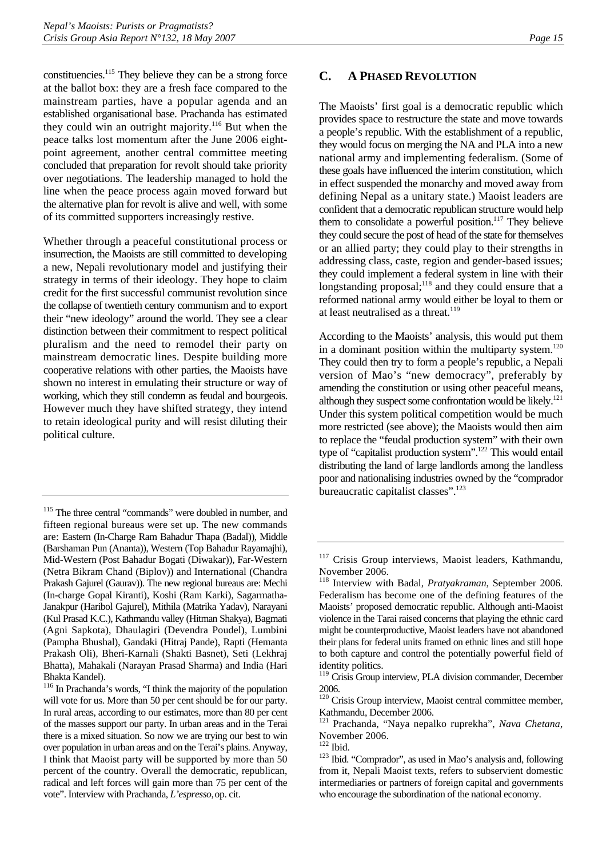<span id="page-18-0"></span>constituencies.[115 T](#page-18-1)hey believe they can be a strong force at the ballot box: they are a fresh face compared to the mainstream parties, have a popular agenda and an established organisational base. Prachanda has estimated they could win an outright majority.<sup>116</sup> But when the peace talks lost momentum after the June 2006 eightpoint agreement, another central committee meeting concluded that preparation for revolt should take priority over negotiations. The leadership managed to hold the line when the peace process again moved forward but the alternative plan for revolt is alive and well, with some of its committed supporters increasingly restive.

Whether through a peaceful constitutional process or insurrection, the Maoists are still committed to developing a new, Nepali revolutionary model and justifying their strategy in terms of their ideology. They hope to claim credit for the first successful communist revolution since the collapse of twentieth century communism and to export their "new ideology" around the world. They see a clear distinction between their commitment to respect political pluralism and the need to remodel their party on mainstream democratic lines. Despite building more cooperative relations with other parties, the Maoists have shown no interest in emulating their structure or way of working, which they still condemn as feudal and bourgeois. However much they have shifted strategy, they intend to retain ideological purity and will resist diluting their political culture.

# **C. A PHASED REVOLUTION**

The Maoists' first goal is a democratic republic which provides space to restructure the state and move towards a people's republic. With the establishment of a republic, they would focus on merging the NA and PLA into a new national army and implementing federalism. (Some of these goals have influenced the interim constitution, which in effect suspended the monarchy and moved away from defining Nepal as a unitary state.) Maoist leaders are confident that a democratic republican structure would help them to consolidate a powerful position.<sup>117</sup> They believe they could secure the post of head of the state for themselves or an allied party; they could play to their strengths in addressing class, caste, region and gender-based issues; they could implement a federal system in line with their longstanding proposal; $118$  and they could ensure that a reformed national army would either be loyal to them or at least neutralised as a threat.<sup>[119](#page-18-5)</sup>

According to the Maoists' analysis, this would put them in a dominant position within the multiparty system.<sup>120</sup> They could then try to form a people's republic, a Nepali version of Mao's "new democracy", preferably by amending the constitution or using other peaceful means, although they suspect some confrontation would be likely.<sup>121</sup> Under this system political competition would be much more restricted (see above); the Maoists would then aim to replace the "feudal production system" with their own type of "capitalist production system".[122 T](#page-18-8)his would entail distributing the land of large landlords among the landless poor and nationalising industries owned by the "comprador bureaucratic capitalist classes".<sup>[123](#page-18-9)</sup>

<span id="page-18-1"></span><sup>&</sup>lt;sup>115</sup> The three central "commands" were doubled in number, and fifteen regional bureaus were set up. The new commands are: Eastern (In-Charge Ram Bahadur Thapa (Badal)), Middle (Barshaman Pun (Ananta)), Western (Top Bahadur Rayamajhi), Mid-Western (Post Bahadur Bogati (Diwakar)), Far-Western (Netra Bikram Chand (Biplov)) and International (Chandra Prakash Gajurel (Gaurav)). The new regional bureaus are: Mechi (In-charge Gopal Kiranti), Koshi (Ram Karki), Sagarmatha-Janakpur (Haribol Gajurel), Mithila (Matrika Yadav), Narayani (Kul Prasad K.C.), Kathmandu valley (Hitman Shakya), Bagmati (Agni Sapkota), Dhaulagiri (Devendra Poudel), Lumbini (Pampha Bhushal), Gandaki (Hitraj Pande), Rapti (Hemanta Prakash Oli), Bheri-Karnali (Shakti Basnet), Seti (Lekhraj Bhatta), Mahakali (Narayan Prasad Sharma) and India (Hari Bhakta Kandel).

<span id="page-18-2"></span><sup>116</sup> In Prachanda's words, "I think the majority of the population will vote for us. More than 50 per cent should be for our party. In rural areas, according to our estimates, more than 80 per cent of the masses support our party. In urban areas and in the Terai there is a mixed situation. So now we are trying our best to win over population in urban areas and on the Terai's plains. Anyway, I think that Maoist party will be supported by more than 50 percent of the country. Overall the democratic, republican, radical and left forces will gain more than 75 per cent of the vote". Interview with Prachanda, *L'espresso*,op. cit.

<span id="page-18-3"></span><sup>&</sup>lt;sup>117</sup> Crisis Group interviews, Maoist leaders, Kathmandu, November 2006.

<span id="page-18-4"></span><sup>118</sup> Interview with Badal, *Pratyakraman*, September 2006. Federalism has become one of the defining features of the Maoists' proposed democratic republic. Although anti-Maoist violence in the Tarai raised concerns that playing the ethnic card might be counterproductive, Maoist leaders have not abandoned their plans for federal units framed on ethnic lines and still hope to both capture and control the potentially powerful field of identity politics.

<span id="page-18-5"></span><sup>&</sup>lt;sup>119</sup> Crisis Group interview, PLA division commander, December 2006.

<span id="page-18-6"></span><sup>&</sup>lt;sup>120</sup> Crisis Group interview, Maoist central committee member, Kathmandu, December 2006.

<span id="page-18-7"></span><sup>121</sup> Prachanda, "Naya nepalko ruprekha", *Nava Chetana*, November 2006.<br><sup>122</sup> Ibid.

<span id="page-18-8"></span>

<span id="page-18-9"></span><sup>&</sup>lt;sup>123</sup> Ibid. "Comprador", as used in Mao's analysis and, following from it, Nepali Maoist texts, refers to subservient domestic intermediaries or partners of foreign capital and governments who encourage the subordination of the national economy.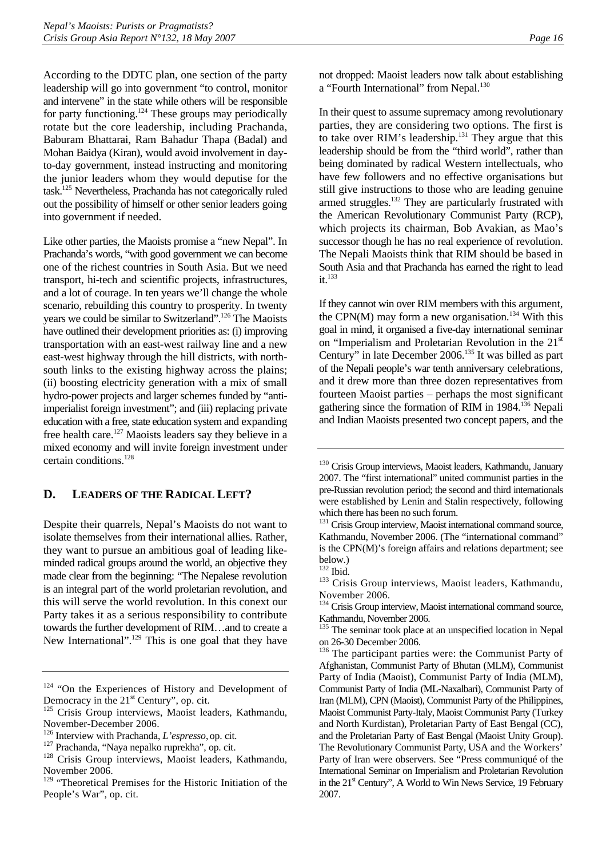<span id="page-19-0"></span>According to the DDTC plan, one section of the party leadership will go into government "to control, monitor and intervene" in the state while others will be responsible for party functioning.<sup>124</sup> These groups may periodically rotate but the core leadership, including Prachanda, Baburam Bhattarai, Ram Bahadur Thapa (Badal) and Mohan Baidya (Kiran), would avoid involvement in dayto-day government, instead instructing and monitoring the junior leaders whom they would deputise for the task.[125 N](#page-19-2)evertheless, Prachanda has not categorically ruled out the possibility of himself or other senior leaders going into government if needed.

Like other parties, the Maoists promise a "new Nepal". In Prachanda's words, "with good government we can become one of the richest countries in South Asia. But we need transport, hi-tech and scientific projects, infrastructures, and a lot of courage. In ten years we'll change the whole scenario, rebuilding this country to prosperity. In twenty years we could be similar to Switzerland".[126 T](#page-19-3)he Maoists have outlined their development priorities as: (i) improving transportation with an east-west railway line and a new east-west highway through the hill districts, with northsouth links to the existing highway across the plains; (ii) boosting electricity generation with a mix of small hydro-power projects and larger schemes funded by "antiimperialist foreign investment"; and (iii) replacing private education with a free, state education system and expanding free health care.<sup>127</sup> Maoists leaders say they believe in a mixed economy and will invite foreign investment under certain conditions.[128](#page-19-5)

# **D. LEADERS OF THE RADICAL LEFT?**

Despite their quarrels, Nepal's Maoists do not want to isolate themselves from their international allies. Rather, they want to pursue an ambitious goal of leading likeminded radical groups around the world, an objective they made clear from the beginning: "The Nepalese revolution is an integral part of the world proletarian revolution, and this will serve the world revolution. In this conext our Party takes it as a serious responsibility to contribute towards the further development of RIM…and to create a New International".<sup>129</sup> This is one goal that they have

not dropped: Maoist leaders now talk about establishing a "Fourth International" from Nepal.<sup>[130](#page-19-7)</sup>

In their quest to assume supremacy among revolutionary parties, they are considering two options. The first is to take over RIM's leadership.<sup>131</sup> They argue that this leadership should be from the "third world", rather than being dominated by radical Western intellectuals, who have few followers and no effective organisations but still give instructions to those who are leading genuine armed struggles.<sup>132</sup> They are particularly frustrated with the American Revolutionary Communist Party (RCP), which projects its chairman, Bob Avakian, as Mao's successor though he has no real experience of revolution. The Nepali Maoists think that RIM should be based in South Asia and that Prachanda has earned the right to lead it.<sup>[133](#page-19-10)</sup>

If they cannot win over RIM members with this argument, the CPN $(M)$  may form a new organisation.<sup>134</sup> With this goal in mind, it organised a five-day international seminar on "Imperialism and Proletarian Revolution in the  $21<sup>st</sup>$ Century" in late December 2006.<sup>135</sup> It was billed as part of the Nepali people's war tenth anniversary celebrations, and it drew more than three dozen representatives from fourteen Maoist parties – perhaps the most significant gathering since the formation of RIM in 1984.[136 N](#page-19-13)epali and Indian Maoists presented two concept papers, and the

<span id="page-19-1"></span><sup>&</sup>lt;sup>124</sup> "On the Experiences of History and Development of Democracy in the 21<sup>st</sup> Century", op. cit. <sup>125</sup> Crisis Group interviews, Maoist leaders, Kathmandu,

<span id="page-19-2"></span>November-December 2006.<br><sup>126</sup> Interview with Prachanda, *L'espresso*, op. cit.

<span id="page-19-3"></span>

<span id="page-19-5"></span><span id="page-19-4"></span>

<sup>&</sup>lt;sup>127</sup> Prachanda, "Naya nepalko ruprekha", op. cit. <sup>128</sup> Crisis Group interviews, Maoist leaders, Kathmandu, November 2006.

<span id="page-19-6"></span><sup>&</sup>lt;sup>129</sup> "Theoretical Premises for the Historic Initiation of the People's War", op. cit.

<span id="page-19-7"></span><sup>&</sup>lt;sup>130</sup> Crisis Group interviews, Maoist leaders, Kathmandu, January 2007. The "first international" united communist parties in the pre-Russian revolution period; the second and third internationals were established by Lenin and Stalin respectively, following which there has been no such forum.

<span id="page-19-8"></span><sup>&</sup>lt;sup>131</sup> Crisis Group interview, Maoist international command source, Kathmandu, November 2006. (The "international command" is the CPN(M)'s foreign affairs and relations department; see below.)<br> $132$  Ibid.

<span id="page-19-9"></span>

<span id="page-19-10"></span><sup>&</sup>lt;sup>133</sup> Crisis Group interviews, Maoist leaders, Kathmandu, November 2006.

<span id="page-19-11"></span><sup>&</sup>lt;sup>134</sup> Crisis Group interview, Maoist international command source, Kathmandu, November 2006.

<span id="page-19-12"></span><sup>&</sup>lt;sup>135</sup> The seminar took place at an unspecified location in Nepal on 26-30 December 2006.

<span id="page-19-13"></span><sup>&</sup>lt;sup>136</sup> The participant parties were: the Communist Party of Afghanistan, Communist Party of Bhutan (MLM), Communist Party of India (Maoist), Communist Party of India (MLM), Communist Party of India (ML-Naxalbari), Communist Party of Iran (MLM), CPN (Maoist), Communist Party of the Philippines, Maoist Communist Party-Italy, Maoist Communist Party (Turkey and North Kurdistan), Proletarian Party of East Bengal (CC), and the Proletarian Party of East Bengal (Maoist Unity Group). The Revolutionary Communist Party, USA and the Workers' Party of Iran were observers. See "Press communiqué of the International Seminar on Imperialism and Proletarian Revolution in the  $21<sup>st</sup>$  Century", A World to Win News Service, 19 February 2007.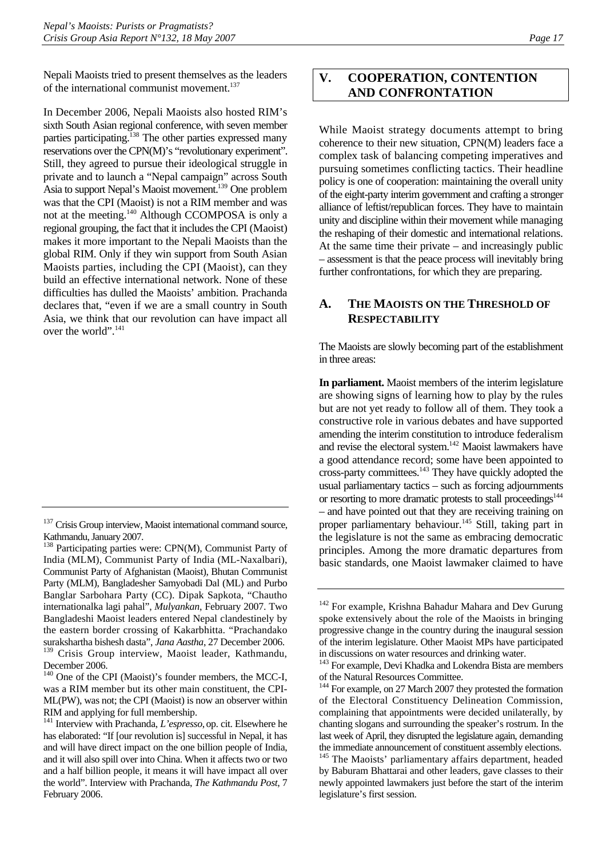<span id="page-20-0"></span>Nepali Maoists tried to present themselves as the leaders of the international communist movement.<sup>[137](#page-20-1)</sup>

In December 2006, Nepali Maoists also hosted RIM's sixth South Asian regional conference, with seven member parties participating.<sup>138</sup> The other parties expressed many reservations over the CPN(M)'s "revolutionary experiment". Still, they agreed to pursue their ideological struggle in private and to launch a "Nepal campaign" across South Asia to support Nepal's Maoist movement.[139 O](#page-20-3)ne problem was that the CPI (Maoist) is not a RIM member and was not at the meeting.<sup>140</sup> Although CCOMPOSA is only a regional grouping, the fact that it includes the CPI (Maoist) makes it more important to the Nepali Maoists than the global RIM. Only if they win support from South Asian Maoists parties, including the CPI (Maoist), can they build an effective international network. None of these difficulties has dulled the Maoists' ambition. Prachanda declares that, "even if we are a small country in South Asia, we think that our revolution can have impact all over the world".<sup>[141](#page-20-5)</sup>

<span id="page-20-3"></span>December 2006.

# **V. COOPERATION, CONTENTION AND CONFRONTATION**

While Maoist strategy documents attempt to bring coherence to their new situation, CPN(M) leaders face a complex task of balancing competing imperatives and pursuing sometimes conflicting tactics. Their headline policy is one of cooperation: maintaining the overall unity of the eight-party interim government and crafting a stronger alliance of leftist/republican forces. They have to maintain unity and discipline within their movement while managing the reshaping of their domestic and international relations. At the same time their private – and increasingly public – assessment is that the peace process will inevitably bring further confrontations, for which they are preparing.

# **A. THE MAOISTS ON THE THRESHOLD OF RESPECTABILITY**

The Maoists are slowly becoming part of the establishment in three areas:

**In parliament.** Maoist members of the interim legislature are showing signs of learning how to play by the rules but are not yet ready to follow all of them. They took a constructive role in various debates and have supported amending the interim constitution to introduce federalism and revise the electoral system.<sup>142</sup> Maoist lawmakers have a good attendance record; some have been appointed to cross-party committees.<sup>143</sup> They have quickly adopted the usual parliamentary tactics – such as forcing adjournments or resorting to more dramatic protests to stall proceedings<sup>144</sup> – and have pointed out that they are receiving training on proper parliamentary behaviour.<sup>145</sup> Still, taking part in the legislature is not the same as embracing democratic principles. Among the more dramatic departures from basic standards, one Maoist lawmaker claimed to have

<span id="page-20-1"></span><sup>&</sup>lt;sup>137</sup> Crisis Group interview, Maoist international command source, Kathmandu, January 2007.

<span id="page-20-2"></span><sup>&</sup>lt;sup>138</sup> Participating parties were: CPN(M), Communist Party of India (MLM), Communist Party of India (ML-Naxalbari), Communist Party of Afghanistan (Maoist), Bhutan Communist Party (MLM), Bangladesher Samyobadi Dal (ML) and Purbo Banglar Sarbohara Party (CC). Dipak Sapkota, "Chautho internationalka lagi pahal", *Mulyankan*, February 2007. Two Bangladeshi Maoist leaders entered Nepal clandestinely by the eastern border crossing of Kakarbhitta. "Prachandako surakshartha bishesh dasta", *Jana Aastha*, 27 December 2006. <sup>139</sup> Crisis Group interview, Maoist leader, Kathmandu,

<span id="page-20-4"></span><sup>&</sup>lt;sup>140</sup> One of the CPI (Maoist)'s founder members, the MCC-I, was a RIM member but its other main constituent, the CPI-ML(PW), was not; the CPI (Maoist) is now an observer within RIM and applying for full membership.

<span id="page-20-5"></span><sup>141</sup> Interview with Prachanda, *L'espresso*,op. cit. Elsewhere he has elaborated: "If [our revolution is] successful in Nepal, it has and will have direct impact on the one billion people of India, and it will also spill over into China. When it affects two or two and a half billion people, it means it will have impact all over the world". Interview with Prachanda, *The Kathmandu Post*, 7 February 2006.

<span id="page-20-6"></span><sup>&</sup>lt;sup>142</sup> For example, Krishna Bahadur Mahara and Dev Gurung spoke extensively about the role of the Maoists in bringing progressive change in the country during the inaugural session of the interim legislature. Other Maoist MPs have participated in discussions on water resources and drinking water.

<span id="page-20-7"></span><sup>&</sup>lt;sup>143</sup> For example, Devi Khadka and Lokendra Bista are members of the Natural Resources Committee.

<span id="page-20-8"></span><sup>&</sup>lt;sup>144</sup> For example, on 27 March 2007 they protested the formation of the Electoral Constituency Delineation Commission, complaining that appointments were decided unilaterally, by chanting slogans and surrounding the speaker's rostrum. In the last week of April, they disrupted the legislature again, demanding the immediate announcement of constituent assembly elections.

<span id="page-20-9"></span><sup>&</sup>lt;sup>145</sup> The Maoists' parliamentary affairs department, headed by Baburam Bhattarai and other leaders, gave classes to their newly appointed lawmakers just before the start of the interim legislature's first session.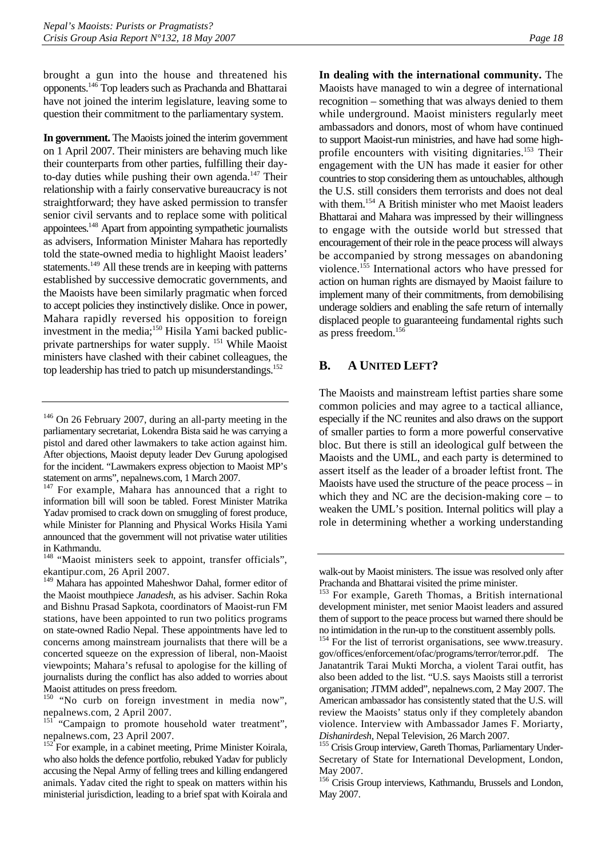<span id="page-21-0"></span>brought a gun into the house and threatened his opponents.[146 T](#page-21-1)op leaders such as Prachanda and Bhattarai have not joined the interim legislature, leaving some to question their commitment to the parliamentary system.

**In government.** The Maoists joined the interim government on 1 April 2007. Their ministers are behaving much like their counterparts from other parties, fulfilling their dayto-day duties while pushing their own agenda.<sup>147</sup> Their relationship with a fairly conservative bureaucracy is not straightforward; they have asked permission to transfer senior civil servants and to replace some with political appointees[.148 A](#page-21-3)part from appointing sympathetic journalists as advisers, Information Minister Mahara has reportedly told the state-owned media to highlight Maoist leaders' statements.<sup>149</sup> All these trends are in keeping with patterns established by successive democratic governments, and the Maoists have been similarly pragmatic when forced to accept policies they instinctively dislike. Once in power, Mahara rapidly reversed his opposition to foreign investment in the media;<sup>150</sup> Hisila Yami backed publicprivate partnerships for water supply. <sup>151</sup> While Maoist ministers have clashed with their cabinet colleagues, the top leadership has tried to patch up misunderstandings.<sup>[152](#page-21-7)</sup>

**In dealing with the international community.** The Maoists have managed to win a degree of international recognition – something that was always denied to them while underground. Maoist ministers regularly meet ambassadors and donors, most of whom have continued to support Maoist-run ministries, and have had some highprofile encounters with visiting dignitaries.<sup>153</sup> Their engagement with the UN has made it easier for other countries to stop considering them as untouchables, although the U.S. still considers them terrorists and does not deal with them.[154 A](#page-21-9) British minister who met Maoist leaders Bhattarai and Mahara was impressed by their willingness to engage with the outside world but stressed that encouragement of their role in the peace process will always be accompanied by strong messages on abandoning violence.<sup>155</sup> International actors who have pressed for action on human rights are dismayed by Maoist failure to implement many of their commitments, from demobilising underage soldiers and enabling the safe return of internally displaced people to guaranteeing fundamental rights such as press freedom.[156](#page-21-11)

# **B. A UNITED LEFT?**

The Maoists and mainstream leftist parties share some common policies and may agree to a tactical alliance, especially if the NC reunites and also draws on the support of smaller parties to form a more powerful conservative bloc. But there is still an ideological gulf between the Maoists and the UML, and each party is determined to assert itself as the leader of a broader leftist front. The Maoists have used the structure of the peace process – in which they and NC are the decision-making core – to weaken the UML's position. Internal politics will play a role in determining whether a working understanding

<span id="page-21-1"></span><sup>&</sup>lt;sup>146</sup> On 26 February 2007, during an all-party meeting in the parliamentary secretariat, Lokendra Bista said he was carrying a pistol and dared other lawmakers to take action against him. After objections, Maoist deputy leader Dev Gurung apologised for the incident. "Lawmakers express objection to Maoist MP's statement on arms", nepalnews.com, 1 March 2007.

<span id="page-21-2"></span><sup>&</sup>lt;sup>147</sup> For example, Mahara has announced that a right to information bill will soon be tabled. Forest Minister Matrika Yadav promised to crack down on smuggling of forest produce, while Minister for Planning and Physical Works Hisila Yami announced that the government will not privatise water utilities in Kathmandu.

<span id="page-21-3"></span><sup>&</sup>lt;sup>148</sup> "Maoist ministers seek to appoint, transfer officials", ekantipur.com, 26 April 2007.

<span id="page-21-4"></span><sup>149</sup> Mahara has appointed Maheshwor Dahal, former editor of the Maoist mouthpiece *Janadesh*, as his adviser. Sachin Roka and Bishnu Prasad Sapkota, coordinators of Maoist-run FM stations, have been appointed to run two politics programs on state-owned Radio Nepal. These appointments have led to concerns among mainstream journalists that there will be a concerted squeeze on the expression of liberal, non-Maoist viewpoints; Mahara's refusal to apologise for the killing of journalists during the conflict has also added to worries about Maoist attitudes on press freedom.

<span id="page-21-5"></span><sup>&</sup>lt;sup>150</sup> "No curb on foreign investment in media now", nepalnews.com, 2 April 2007.

<span id="page-21-6"></span><sup>&</sup>lt;sup>151</sup> "Campaign to promote household water treatment", nepalnews.com, 23 April 2007.

<span id="page-21-7"></span> $152$  For example, in a cabinet meeting, Prime Minister Koirala, who also holds the defence portfolio, rebuked Yadav for publicly accusing the Nepal Army of felling trees and killing endangered animals. Yadav cited the right to speak on matters within his ministerial jurisdiction, leading to a brief spat with Koirala and

walk-out by Maoist ministers. The issue was resolved only after Prachanda and Bhattarai visited the prime minister.

<span id="page-21-8"></span><sup>&</sup>lt;sup>153</sup> For example, Gareth Thomas, a British international development minister, met senior Maoist leaders and assured them of support to the peace process but warned there should be no intimidation in the run-up to the constituent assembly polls.

<span id="page-21-9"></span><sup>&</sup>lt;sup>154</sup> For the list of terrorist organisations, see www.treasury. gov/offices/enforcement/ofac/programs/terror/terror.pdf. The Janatantrik Tarai Mukti Morcha, a violent Tarai outfit, has also been added to the list. "U.S. says Maoists still a terrorist organisation; JTMM added", nepalnews.com, 2 May 2007. The American ambassador has consistently stated that the U.S. will review the Maoists' status only if they completely abandon violence. Interview with Ambassador James F. Moriarty,

<span id="page-21-10"></span>*Dishanirdesh*, Nepal Television, 26 March 2007. 155 Crisis Group interview, Gareth Thomas, Parliamentary Under-Secretary of State for International Development, London, May 2007.

<span id="page-21-11"></span><sup>&</sup>lt;sup>156</sup> Crisis Group interviews, Kathmandu, Brussels and London, May 2007.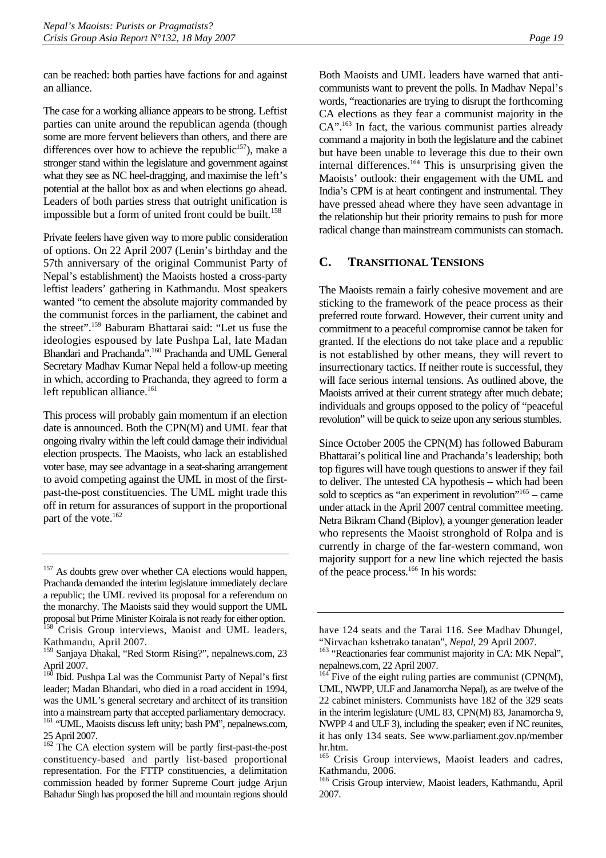<span id="page-22-0"></span>can be reached: both parties have factions for and against an alliance.

The case for a working alliance appears to be strong. Leftist parties can unite around the republican agenda (though some are more fervent believers than others, and there are differences over how to achieve the republic<sup>157</sup>), make a stronger stand within the legislature and government against what they see as NC heel-dragging, and maximise the left's potential at the ballot box as and when elections go ahead. Leaders of both parties stress that outright unification is impossible but a form of united front could be built.<sup>[158](#page-22-2)</sup>

Private feelers have given way to more public consideration of options. On 22 April 2007 (Lenin's birthday and the 57th anniversary of the original Communist Party of Nepal's establishment) the Maoists hosted a cross-party leftist leaders' gathering in Kathmandu. Most speakers wanted "to cement the absolute majority commanded by the communist forces in the parliament, the cabinet and the street".[159 B](#page-22-3)aburam Bhattarai said: "Let us fuse the ideologies espoused by late Pushpa Lal, late Madan Bhandari and Prachanda".[160 P](#page-22-4)rachanda and UML General Secretary Madhav Kumar Nepal held a follow-up meeting in which, according to Prachanda, they agreed to form a left republican alliance. $161$ 

This process will probably gain momentum if an election date is announced. Both the CPN(M) and UML fear that ongoing rivalry within the left could damage their individual election prospects. The Maoists, who lack an established voter base, may see advantage in a seat-sharing arrangement to avoid competing against the UML in most of the firstpast-the-post constituencies. The UML might trade this off in return for assurances of support in the proportional part of the vote.<sup>162</sup>

Both Maoists and UML leaders have warned that anticommunists want to prevent the polls. In Madhav Nepal's words, "reactionaries are trying to disrupt the forthcoming CA elections as they fear a communist majority in the CA".<sup>[163](#page-22-7)</sup> In fact, the various communist parties already command a majority in both the legislature and the cabinet but have been unable to leverage this due to their own internal differences.<sup>164</sup> This is unsurprising given the Maoists' outlook: their engagement with the UML and India's CPM is at heart contingent and instrumental. They have pressed ahead where they have seen advantage in the relationship but their priority remains to push for more radical change than mainstream communists can stomach.

## **C. TRANSITIONAL TENSIONS**

The Maoists remain a fairly cohesive movement and are sticking to the framework of the peace process as their preferred route forward. However, their current unity and commitment to a peaceful compromise cannot be taken for granted. If the elections do not take place and a republic is not established by other means, they will revert to insurrectionary tactics. If neither route is successful, they will face serious internal tensions. As outlined above, the Maoists arrived at their current strategy after much debate; individuals and groups opposed to the policy of "peaceful revolution" will be quick to seize upon any serious stumbles.

Since October 2005 the CPN(M) has followed Baburam Bhattarai's political line and Prachanda's leadership; both top figures will have tough questions to answer if they fail to deliver. The untested CA hypothesis – which had been sold to sceptics as "an experiment in revolution["165 –](#page-22-9) came under attack in the April 2007 central committee meeting. Netra Bikram Chand (Biplov), a younger generation leader who represents the Maoist stronghold of Rolpa and is currently in charge of the far-western command, won majority support for a new line which rejected the basis of the peace process.[166 I](#page-22-10)n his words:

<span id="page-22-1"></span><sup>&</sup>lt;sup>157</sup> As doubts grew over whether CA elections would happen, Prachanda demanded the interim legislature immediately declare a republic; the UML revived its proposal for a referendum on the monarchy. The Maoists said they would support the UML proposal but Prime Minister Koirala is not ready for either option. Crisis Group interviews, Maoist and UML leaders,

<span id="page-22-3"></span><span id="page-22-2"></span>Kathmandu, April 2007. 159 Sanjaya Dhakal, "Red Storm Rising?", nepalnews.com, 23 April 2007.

<span id="page-22-4"></span><sup>&</sup>lt;sup>160</sup> Ibid. Pushpa Lal was the Communist Party of Nepal's first leader; Madan Bhandari, who died in a road accident in 1994, was the UML's general secretary and architect of its transition into a mainstream party that accepted parliamentary democracy. 161 "UML, Maoists discuss left unity; bash PM", nepalnews.com, 25 April 2007.

<span id="page-22-6"></span><span id="page-22-5"></span><sup>&</sup>lt;sup>162</sup> The CA election system will be partly first-past-the-post constituency-based and partly list-based proportional representation. For the FTTP constituencies, a delimitation commission headed by former Supreme Court judge Arjun Bahadur Singh has proposed the hill and mountain regions should

have 124 seats and the Tarai 116. See Madhav Dhungel,

<span id="page-22-7"></span><sup>&</sup>quot;Nirvachan kshetrako tanatan", *Nepal*, 29 April 2007. 163 "Reactionaries fear communist majority in CA: MK Nepal", nepalnews.com, 22 April 2007.

<span id="page-22-8"></span> $^{164}$  Five of the eight ruling parties are communist (CPN(M), UML, NWPP, ULF and Janamorcha Nepal), as are twelve of the 22 cabinet ministers. Communists have 182 of the 329 seats in the interim legislature (UML 83, CPN(M) 83, Janamorcha 9, NWPP 4 and ULF 3), including the speaker; even if NC reunites, it has only 134 seats. See www.parliament.gov.np/member hr.htm.

<span id="page-22-9"></span><sup>&</sup>lt;sup>165</sup> Crisis Group interviews, Maoist leaders and cadres, Kathmandu, 2006.

<span id="page-22-10"></span><sup>166</sup> Crisis Group interview, Maoist leaders, Kathmandu, April 2007.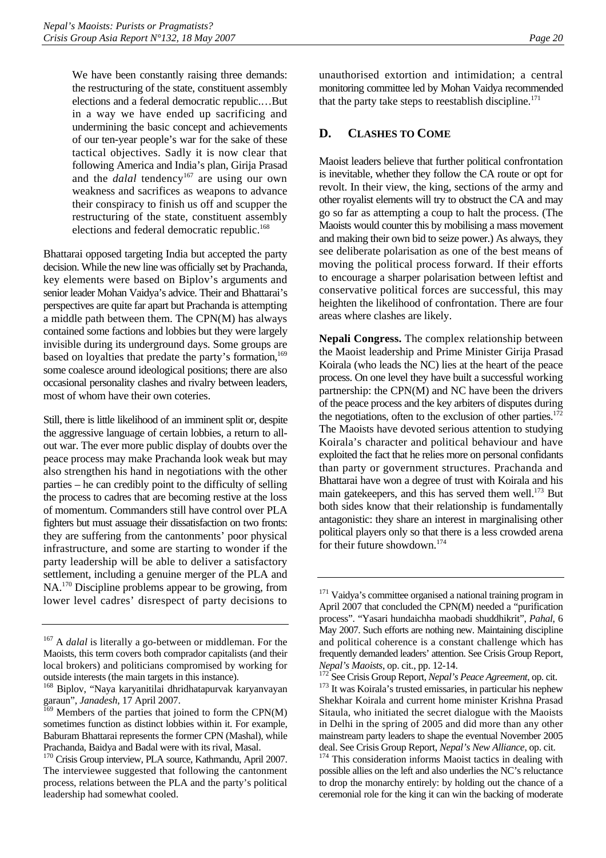<span id="page-23-0"></span>We have been constantly raising three demands: the restructuring of the state, constituent assembly elections and a federal democratic republic.…But in a way we have ended up sacrificing and undermining the basic concept and achievements of our ten-year people's war for the sake of these tactical objectives. Sadly it is now clear that following America and India's plan, Girija Prasad and the *dalal* tendency<sup>167</sup> are using our own weakness and sacrifices as weapons to advance their conspiracy to finish us off and scupper the restructuring of the state, constituent assembly elections and federal democratic republic.<sup>[168](#page-23-2)</sup>

Bhattarai opposed targeting India but accepted the party decision. While the new line was officially set by Prachanda, key elements were based on Biplov's arguments and senior leader Mohan Vaidya's advice. Their and Bhattarai's perspectives are quite far apart but Prachanda is attempting a middle path between them. The CPN(M) has always contained some factions and lobbies but they were largely invisible during its underground days. Some groups are based on loyalties that predate the party's formation,<sup>169</sup> some coalesce around ideological positions; there are also occasional personality clashes and rivalry between leaders, most of whom have their own coteries.

Still, there is little likelihood of an imminent split or, despite the aggressive language of certain lobbies, a return to allout war. The ever more public display of doubts over the peace process may make Prachanda look weak but may also strengthen his hand in negotiations with the other parties – he can credibly point to the difficulty of selling the process to cadres that are becoming restive at the loss of momentum. Commanders still have control over PLA fighters but must assuage their dissatisfaction on two fronts: they are suffering from the cantonments' poor physical infrastructure, and some are starting to wonder if the party leadership will be able to deliver a satisfactory settlement, including a genuine merger of the PLA and NA.[170 D](#page-23-4)iscipline problems appear to be growing, from lower level cadres' disrespect of party decisions to

unauthorised extortion and intimidation; a central monitoring committee led by Mohan Vaidya recommended that the party take steps to reestablish discipline.<sup>171</sup>

### **D. CLASHES TO COME**

Maoist leaders believe that further political confrontation is inevitable, whether they follow the CA route or opt for revolt. In their view, the king, sections of the army and other royalist elements will try to obstruct the CA and may go so far as attempting a coup to halt the process. (The Maoists would counter this by mobilising a mass movement and making their own bid to seize power.) As always, they see deliberate polarisation as one of the best means of moving the political process forward. If their efforts to encourage a sharper polarisation between leftist and conservative political forces are successful, this may heighten the likelihood of confrontation. There are four areas where clashes are likely.

**Nepali Congress.** The complex relationship between the Maoist leadership and Prime Minister Girija Prasad Koirala (who leads the NC) lies at the heart of the peace process. On one level they have built a successful working partnership: the CPN(M) and NC have been the drivers of the peace process and the key arbiters of disputes during the negotiations, often to the exclusion of other parties. $172$ The Maoists have devoted serious attention to studying Koirala's character and political behaviour and have exploited the fact that he relies more on personal confidants than party or government structures. Prachanda and Bhattarai have won a degree of trust with Koirala and his main gatekeepers, and this has served them well.<sup>173</sup> But both sides know that their relationship is fundamentally antagonistic: they share an interest in marginalising other political players only so that there is a less crowded arena for their future showdown.<sup>[174](#page-23-8)</sup>

<span id="page-23-1"></span><sup>&</sup>lt;sup>167</sup> A *dalal* is literally a go-between or middleman. For the Maoists, this term covers both comprador capitalists (and their local brokers) and politicians compromised by working for outside interests (the main targets in this instance).

<span id="page-23-2"></span><sup>168</sup> Biplov, "Naya karyanitilai dhridhatapurvak karyanvayan garaun", *Janadesh*, 17 April 2007.

<span id="page-23-3"></span> $169$  Members of the parties that joined to form the CPN(M) sometimes function as distinct lobbies within it. For example, Baburam Bhattarai represents the former CPN (Mashal), while Prachanda, Baidya and Badal were with its rival, Masal.

<span id="page-23-4"></span><sup>170</sup> Crisis Group interview, PLA source, Kathmandu, April 2007. The interviewee suggested that following the cantonment process, relations between the PLA and the party's political leadership had somewhat cooled.

<span id="page-23-5"></span><sup>&</sup>lt;sup>171</sup> Vaidya's committee organised a national training program in April 2007 that concluded the CPN(M) needed a "purification process". "Yasari hundaichha maobadi shuddhikrit", *Pahal*, 6 May 2007. Such efforts are nothing new. Maintaining discipline and political coherence is a constant challenge which has frequently demanded leaders' attention. See Crisis Group Report,

<span id="page-23-7"></span><span id="page-23-6"></span>*Nepal's Maoists*, op. cit., pp. 12-14.<br><sup>172</sup> See Crisis Group Report, *Nepal's Peace Agreement*, op. cit.<br><sup>173</sup> It was Koirala's trusted emissaries, in particular his nephew Shekhar Koirala and current home minister Krishna Prasad Sitaula, who initiated the secret dialogue with the Maoists in Delhi in the spring of 2005 and did more than any other mainstream party leaders to shape the eventual November 2005

<span id="page-23-8"></span>deal. See Crisis Group Report, *Nepal's New Alliance*, op. cit. 174 This consideration informs Maoist tactics in dealing with possible allies on the left and also underlies the NC's reluctance to drop the monarchy entirely: by holding out the chance of a ceremonial role for the king it can win the backing of moderate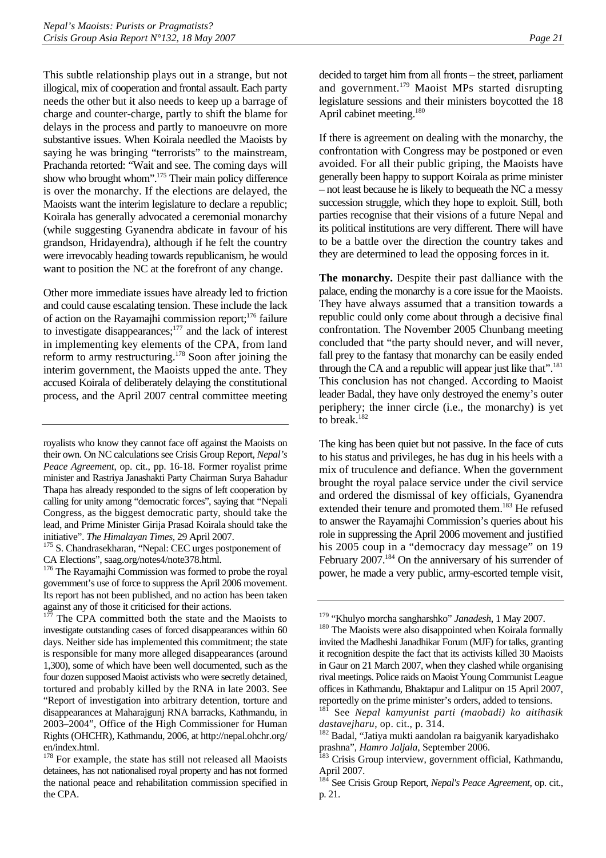This subtle relationship plays out in a strange, but not illogical, mix of cooperation and frontal assault. Each party needs the other but it also needs to keep up a barrage of charge and counter-charge, partly to shift the blame for delays in the process and partly to manoeuvre on more substantive issues. When Koirala needled the Maoists by saying he was bringing "terrorists" to the mainstream, Prachanda retorted: "Wait and see. The coming days will show who brought whom".[175 T](#page-24-0)heir main policy difference is over the monarchy. If the elections are delayed, the Maoists want the interim legislature to declare a republic; Koirala has generally advocated a ceremonial monarchy (while suggesting Gyanendra abdicate in favour of his grandson, Hridayendra), although if he felt the country were irrevocably heading towards republicanism, he would want to position the NC at the forefront of any change.

Other more immediate issues have already led to friction and could cause escalating tension. These include the lack of action on the Rayamajhi commission report;<sup>176</sup> failure to investigate disappearances;<sup>177</sup> and the lack of interest in implementing key elements of the CPA, from land reform to army restructuring.[178 S](#page-24-3)oon after joining the interim government, the Maoists upped the ante. They accused Koirala of deliberately delaying the constitutional process, and the April 2007 central committee meeting

royalists who know they cannot face off against the Maoists on their own. On NC calculations see Crisis Group Report, *Nepal's Peace Agreement*, op. cit., pp. 16-18. Former royalist prime minister and Rastriya Janashakti Party Chairman Surya Bahadur Thapa has already responded to the signs of left cooperation by calling for unity among "democratic forces", saying that "Nepali Congress, as the biggest democratic party, should take the lead, and Prime Minister Girija Prasad Koirala should take the

<span id="page-24-0"></span>initiative". *The Himalayan Times*, 29 April 2007. 175 S. Chandrasekharan, "Nepal: CEC urges postponement of CA Elections", saag.org/notes4/note378.html.

<span id="page-24-1"></span><sup>176</sup> The Rayamajhi Commission was formed to probe the royal government's use of force to suppress the April 2006 movement. Its report has not been published, and no action has been taken against any of those it criticised for their actions.

<span id="page-24-2"></span>The CPA committed both the state and the Maoists to investigate outstanding cases of forced disappearances within 60 days. Neither side has implemented this commitment; the state is responsible for many more alleged disappearances (around 1,300), some of which have been well documented, such as the four dozen supposed Maoist activists who were secretly detained, tortured and probably killed by the RNA in late 2003. See "Report of investigation into arbitrary detention, torture and disappearances at Maharajgunj RNA barracks, Kathmandu, in 2003–2004", Office of the High Commissioner for Human Rights (OHCHR), Kathmandu, 2006, at http://nepal.ohchr.org/ en/index.html.

<span id="page-24-3"></span><sup>178</sup> For example, the state has still not released all Maoists detainees, has not nationalised royal property and has not formed the national peace and rehabilitation commission specified in the CPA.

decided to target him from all fronts – the street, parliament and government.<sup>179</sup> Maoist MPs started disrupting legislature sessions and their ministers boycotted the 18 April cabinet meeting.<sup>[180](#page-24-5)</sup>

If there is agreement on dealing with the monarchy, the confrontation with Congress may be postponed or even avoided. For all their public griping, the Maoists have generally been happy to support Koirala as prime minister – not least because he is likely to bequeath the NC a messy succession struggle, which they hope to exploit. Still, both parties recognise that their visions of a future Nepal and its political institutions are very different. There will have to be a battle over the direction the country takes and they are determined to lead the opposing forces in it.

**The monarchy.** Despite their past dalliance with the palace, ending the monarchy is a core issue for the Maoists. They have always assumed that a transition towards a republic could only come about through a decisive final confrontation. The November 2005 Chunbang meeting concluded that "the party should never, and will never, fall prey to the fantasy that monarchy can be easily ended through the CA and a republic will appear just like that".<sup>181</sup> This conclusion has not changed. According to Maoist leader Badal, they have only destroyed the enemy's outer periphery; the inner circle (i.e., the monarchy) is yet to break.<sup>[182](#page-24-7)</sup>

The king has been quiet but not passive. In the face of cuts to his status and privileges, he has dug in his heels with a mix of truculence and defiance. When the government brought the royal palace service under the civil service and ordered the dismissal of key officials, Gyanendra extended their tenure and promoted them.<sup>183</sup> He refused to answer the Rayamajhi Commission's queries about his role in suppressing the April 2006 movement and justified his 2005 coup in a "democracy day message" on 19 February 2007.<sup>184</sup> On the anniversary of his surrender of power, he made a very public, army-escorted temple visit,

<span id="page-24-5"></span><span id="page-24-4"></span>

<sup>&</sup>lt;sup>179</sup> "Khulyo morcha sangharshko" *Janadesh*, 1 May 2007.<br><sup>180</sup> The Maoists were also disappointed when Koirala formally invited the Madheshi Janadhikar Forum (MJF) for talks, granting it recognition despite the fact that its activists killed 30 Maoists in Gaur on 21 March 2007, when they clashed while organising rival meetings. Police raids on Maoist Young Communist League offices in Kathmandu, Bhaktapur and Lalitpur on 15 April 2007, reportedly on the prime minister's orders, added to tensions.

<span id="page-24-6"></span><sup>181</sup> See *Nepal kamyunist parti (maobadi) ko aitihasik dastavejharu*, op. cit., p. 314. 182 Badal, "Jatiya mukti aandolan ra baigyanik karyadishako

<span id="page-24-7"></span>prashna", *Hamro Jaljala*, September 2006.<br><sup>183</sup> Crisis Group interview, government official, Kathmandu,

<span id="page-24-8"></span>April 2007.

<span id="page-24-9"></span><sup>184</sup> See Crisis Group Report, *Nepal's Peace Agreement*, op. cit., p. 21.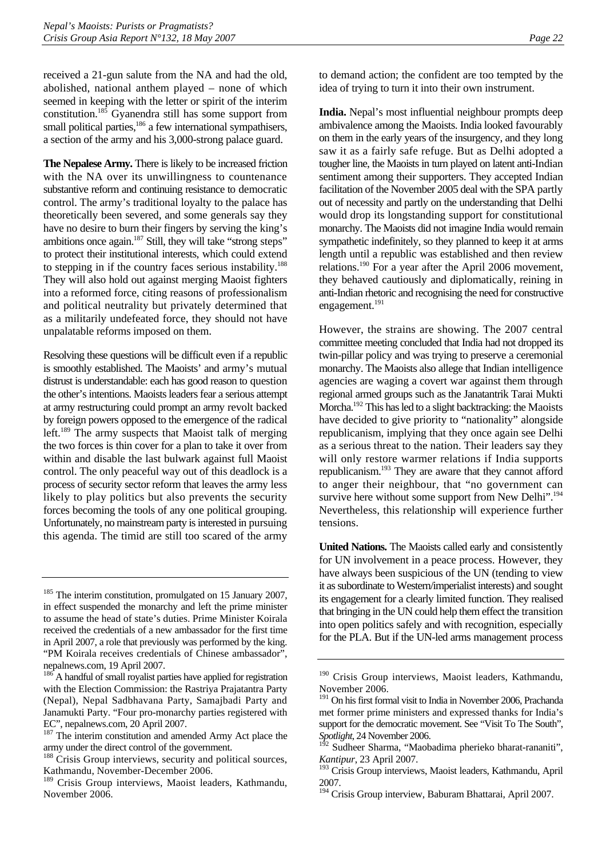received a 21-gun salute from the NA and had the old, abolished, national anthem played – none of which seemed in keeping with the letter or spirit of the interim constitution[.185](#page-25-0) Gyanendra still has some support from small political parties,<sup>186</sup> a few international sympathisers, a section of the army and his 3,000-strong palace guard.

**The Nepalese Army.** There is likely to be increased friction with the NA over its unwillingness to countenance substantive reform and continuing resistance to democratic control. The army's traditional loyalty to the palace has theoretically been severed, and some generals say they have no desire to burn their fingers by serving the king's ambitions once again[.187 S](#page-25-2)till, they will take "strong steps" to protect their institutional interests, which could extend to stepping in if the country faces serious instability.<sup>188</sup> They will also hold out against merging Maoist fighters into a reformed force, citing reasons of professionalism and political neutrality but privately determined that as a militarily undefeated force, they should not have unpalatable reforms imposed on them.

Resolving these questions will be difficult even if a republic is smoothly established. The Maoists' and army's mutual distrust is understandable: each has good reason to question the other's intentions. Maoists leaders fear a serious attempt at army restructuring could prompt an army revolt backed by foreign powers opposed to the emergence of the radical left.<sup>189</sup> The army suspects that Maoist talk of merging the two forces is thin cover for a plan to take it over from within and disable the last bulwark against full Maoist control. The only peaceful way out of this deadlock is a process of security sector reform that leaves the army less likely to play politics but also prevents the security forces becoming the tools of any one political grouping. Unfortunately, no mainstream party is interested in pursuing this agenda. The timid are still too scared of the army

to demand action; the confident are too tempted by the idea of trying to turn it into their own instrument.

**India.** Nepal's most influential neighbour prompts deep ambivalence among the Maoists. India looked favourably on them in the early years of the insurgency, and they long saw it as a fairly safe refuge. But as Delhi adopted a tougher line, the Maoists in turn played on latent anti-Indian sentiment among their supporters. They accepted Indian facilitation of the November 2005 deal with the SPA partly out of necessity and partly on the understanding that Delhi would drop its longstanding support for constitutional monarchy. The Maoists did not imagine India would remain sympathetic indefinitely, so they planned to keep it at arms length until a republic was established and then review relations.[190 F](#page-25-5)or a year after the April 2006 movement, they behaved cautiously and diplomatically, reining in anti-Indian rhetoric and recognising the need for constructive engagement.<sup>[191](#page-25-6)</sup>

However, the strains are showing. The 2007 central committee meeting concluded that India had not dropped its twin-pillar policy and was trying to preserve a ceremonial monarchy. The Maoists also allege that Indian intelligence agencies are waging a covert war against them through regional armed groups such as the Janatantrik Tarai Mukti Morcha.<sup>192</sup> This has led to a slight backtracking: the Maoists have decided to give priority to "nationality" alongside republicanism, implying that they once again see Delhi as a serious threat to the nation. Their leaders say they will only restore warmer relations if India supports republicanism[.193 T](#page-25-8)hey are aware that they cannot afford to anger their neighbour, that "no government can survive here without some support from New Delhi".<sup>194</sup> Nevertheless, this relationship will experience further tensions.

**United Nations.** The Maoists called early and consistently for UN involvement in a peace process. However, they have always been suspicious of the UN (tending to view it as subordinate to Western/imperialist interests) and sought its engagement for a clearly limited function. They realised that bringing in the UN could help them effect the transition into open politics safely and with recognition, especially for the PLA. But if the UN-led arms management process

<span id="page-25-0"></span><sup>&</sup>lt;sup>185</sup> The interim constitution, promulgated on 15 January 2007, in effect suspended the monarchy and left the prime minister to assume the head of state's duties. Prime Minister Koirala received the credentials of a new ambassador for the first time in April 2007, a role that previously was performed by the king. "PM Koirala receives credentials of Chinese ambassador", nepalnews.com, 19 April 2007.

<span id="page-25-1"></span><sup>&</sup>lt;sup>186</sup> A handful of small royalist parties have applied for registration with the Election Commission: the Rastriya Prajatantra Party (Nepal), Nepal Sadbhavana Party, Samajbadi Party and Janamukti Party. "Four pro-monarchy parties registered with EC", nepalnews.com, 20 April 2007.

<span id="page-25-2"></span><sup>&</sup>lt;sup>187</sup> The interim constitution and amended Army Act place the army under the direct control of the government.

<span id="page-25-3"></span><sup>&</sup>lt;sup>188</sup> Crisis Group interviews, security and political sources, Kathmandu, November-December 2006.

<span id="page-25-4"></span><sup>189</sup> Crisis Group interviews, Maoist leaders, Kathmandu, November 2006.

<span id="page-25-5"></span><sup>&</sup>lt;sup>190</sup> Crisis Group interviews, Maoist leaders, Kathmandu, November 2006.

<span id="page-25-6"></span><sup>191</sup> On his first formal visit to India in November 2006, Prachanda met former prime ministers and expressed thanks for India's support for the democratic movement. See "Visit To The South", *Spotlight*, 24 November 2006.

<span id="page-25-7"></span><sup>192</sup> Sudheer Sharma, "Maobadima pherieko bharat-rananiti", *Kantipur*, 23 April 2007.

<span id="page-25-8"></span><sup>&</sup>lt;sup>193</sup> Crisis Group interviews, Maoist leaders, Kathmandu, April 2007.

<span id="page-25-9"></span><sup>&</sup>lt;sup>194</sup> Crisis Group interview, Baburam Bhattarai, April 2007.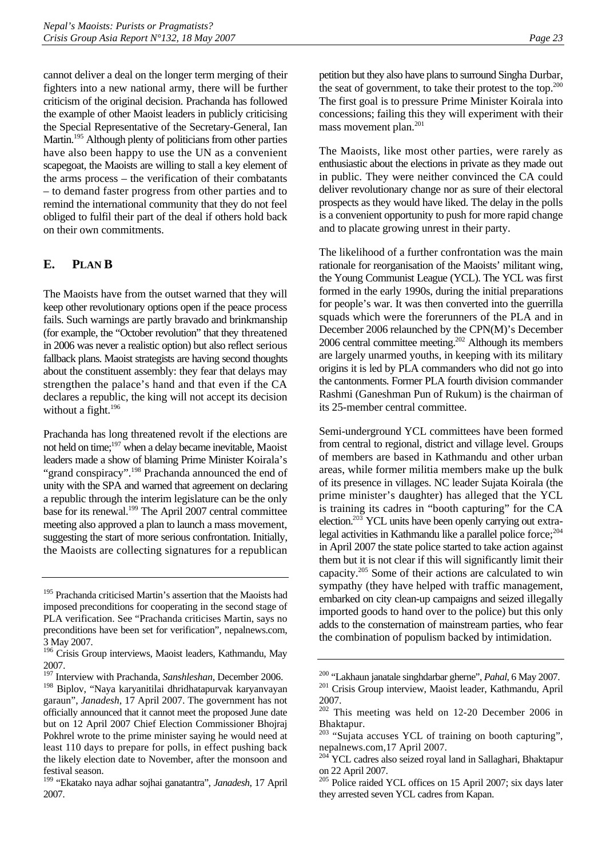<span id="page-26-0"></span>cannot deliver a deal on the longer term merging of their fighters into a new national army, there will be further criticism of the original decision. Prachanda has followed the example of other Maoist leaders in publicly criticising the Special Representative of the Secretary-General, Ian Martin.<sup>195</sup> Although plenty of politicians from other parties have also been happy to use the UN as a convenient scapegoat, the Maoists are willing to stall a key element of the arms process – the verification of their combatants – to demand faster progress from other parties and to remind the international community that they do not feel obliged to fulfil their part of the deal if others hold back on their own commitments.

## **E. PLAN B**

The Maoists have from the outset warned that they will keep other revolutionary options open if the peace process fails. Such warnings are partly bravado and brinkmanship (for example, the "October revolution" that they threatened in 2006 was never a realistic option) but also reflect serious fallback plans. Maoist strategists are having second thoughts about the constituent assembly: they fear that delays may strengthen the palace's hand and that even if the CA declares a republic, the king will not accept its decision without a fight.<sup>[196](#page-26-2)</sup>

Prachanda has long threatened revolt if the elections are not held on time;[197 w](#page-26-3)hen a delay became inevitable, Maoist leaders made a show of blaming Prime Minister Koirala's "grand conspiracy".<sup>198</sup> Prachanda announced the end of unity with the SPA and warned that agreement on declaring a republic through the interim legislature can be the only base for its renewal[.199 T](#page-26-5)he April 2007 central committee meeting also approved a plan to launch a mass movement, suggesting the start of more serious confrontation. Initially, the Maoists are collecting signatures for a republican

petition but they also have plans to surround Singha Durbar, the seat of government, to take their protest to the top. $200$ The first goal is to pressure Prime Minister Koirala into concessions; failing this they will experiment with their mass movement plan.<sup>201</sup>

The Maoists, like most other parties, were rarely as enthusiastic about the elections in private as they made out in public. They were neither convinced the CA could deliver revolutionary change nor as sure of their electoral prospects as they would have liked. The delay in the polls is a convenient opportunity to push for more rapid change and to placate growing unrest in their party.

The likelihood of a further confrontation was the main rationale for reorganisation of the Maoists' militant wing, the Young Communist League (YCL). The YCL was first formed in the early 1990s, during the initial preparations for people's war. It was then converted into the guerrilla squads which were the forerunners of the PLA and in December 2006 relaunched by the CPN(M)'s December 2006 central committee meeting[.202 A](#page-26-8)lthough its members are largely unarmed youths, in keeping with its military origins it is led by PLA commanders who did not go into the cantonments. Former PLA fourth division commander Rashmi (Ganeshman Pun of Rukum) is the chairman of its 25-member central committee.

Semi-underground YCL committees have been formed from central to regional, district and village level. Groups of members are based in Kathmandu and other urban areas, while former militia members make up the bulk of its presence in villages. NC leader Sujata Koirala (the prime minister's daughter) has alleged that the YCL is training its cadres in "booth capturing" for the CA election.<sup>[203](#page-26-9)</sup> YCL units have been openly carrying out extralegal activities in Kathmandu like a parallel police force; $^{204}$ in April 2007 the state police started to take action against them but it is not clear if this will significantly limit their capacity.[205 S](#page-26-11)ome of their actions are calculated to win sympathy (they have helped with traffic management, embarked on city clean-up campaigns and seized illegally imported goods to hand over to the police) but this only adds to the consternation of mainstream parties, who fear the combination of populism backed by intimidation.

<span id="page-26-1"></span><sup>&</sup>lt;sup>195</sup> Prachanda criticised Martin's assertion that the Maoists had imposed preconditions for cooperating in the second stage of PLA verification. See "Prachanda criticises Martin, says no preconditions have been set for verification", nepalnews.com, 3 May 2007.

<span id="page-26-2"></span><sup>&</sup>lt;sup>196</sup> Crisis Group interviews, Maoist leaders, Kathmandu, May 2007.

<span id="page-26-3"></span><sup>197</sup> Interview with Prachanda, *Sanshleshan*, December 2006.

<span id="page-26-4"></span>Biplov, "Naya karyanitilai dhridhatapurvak karyanvayan garaun", *Janadesh*, 17 April 2007. The government has not officially announced that it cannot meet the proposed June date but on 12 April 2007 Chief Election Commissioner Bhojraj Pokhrel wrote to the prime minister saying he would need at least 110 days to prepare for polls, in effect pushing back the likely election date to November, after the monsoon and festival season.

<span id="page-26-5"></span><sup>199 &</sup>quot;Ekatako naya adhar sojhai ganatantra", *Janadesh*, 17 April 2007.

<span id="page-26-7"></span><span id="page-26-6"></span><sup>&</sup>lt;sup>200</sup> "Lakhaun janatale singhdarbar gherne", *Pahal*, 6 May 2007.<br><sup>201</sup> Crisis Group interview, Maoist leader, Kathmandu, April 2007.

<span id="page-26-8"></span><sup>202</sup> This meeting was held on 12-20 December 2006 in Bhaktapur.

<span id="page-26-9"></span><sup>&</sup>lt;sup>203</sup> "Sujata accuses YCL of training on booth capturing", nepalnews.com,17 April 2007.

<span id="page-26-10"></span><sup>&</sup>lt;sup>204</sup> YCL cadres also seized royal land in Sallaghari, Bhaktapur on 22 April 2007.

<span id="page-26-11"></span><sup>&</sup>lt;sup>205</sup> Police raided YCL offices on 15 April 2007; six days later they arrested seven YCL cadres from Kapan.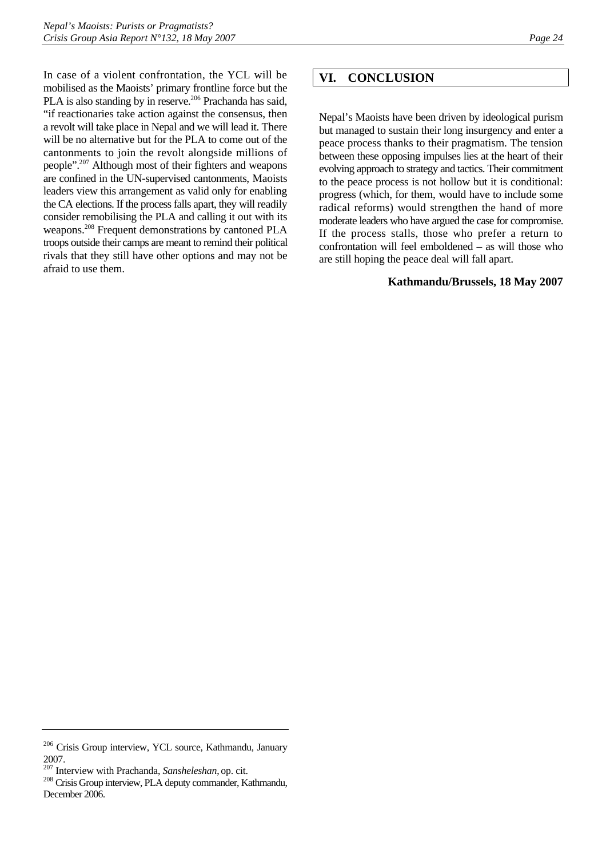<span id="page-27-0"></span>In case of a violent confrontation, the YCL will be mobilised as the Maoists' primary frontline force but the PLA is also standing by in reserve.<sup>206</sup> Prachanda has said, "if reactionaries take action against the consensus, then a revolt will take place in Nepal and we will lead it. There will be no alternative but for the PLA to come out of the cantonments to join the revolt alongside millions of people"[.207 A](#page-27-2)lthough most of their fighters and weapons are confined in the UN-supervised cantonments, Maoists leaders view this arrangement as valid only for enabling the CA elections. If the process falls apart, they will readily consider remobilising the PLA and calling it out with its weapons.<sup>208</sup> Frequent demonstrations by cantoned PLA troops outside their camps are meant to remind their political rivals that they still have other options and may not be afraid to use them.

# **VI. CONCLUSION**

Nepal's Maoists have been driven by ideological purism but managed to sustain their long insurgency and enter a peace process thanks to their pragmatism. The tension between these opposing impulses lies at the heart of their evolving approach to strategy and tactics. Their commitment to the peace process is not hollow but it is conditional: progress (which, for them, would have to include some radical reforms) would strengthen the hand of more moderate leaders who have argued the case for compromise. If the process stalls, those who prefer a return to confrontation will feel emboldened – as will those who are still hoping the peace deal will fall apart.

#### **Kathmandu/Brussels, 18 May 2007**

<span id="page-27-1"></span><sup>206</sup> Crisis Group interview, YCL source, Kathmandu, January

<span id="page-27-2"></span><sup>2007.&</sup>lt;br><sup>207</sup> Interview with Prachanda, Sansheleshan, op. cit.

<span id="page-27-3"></span><sup>&</sup>lt;sup>208</sup> Crisis Group interview, PLA deputy commander, Kathmandu, December 2006.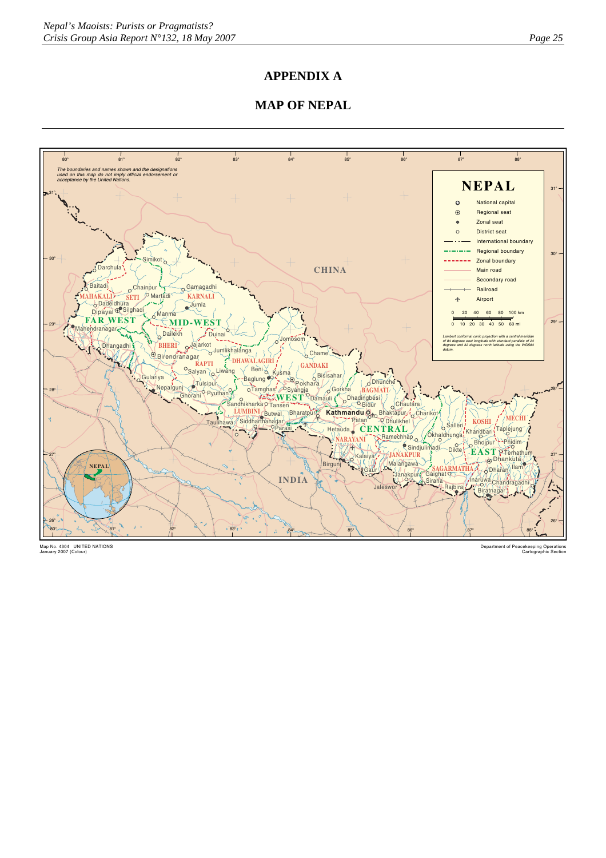## **APPENDIX A**

# **MAP OF NEPAL**



Map No. 4304 UNITED NATIONS January 2007 (Colour)

Department of Peacekeeping Operations Cartographic Section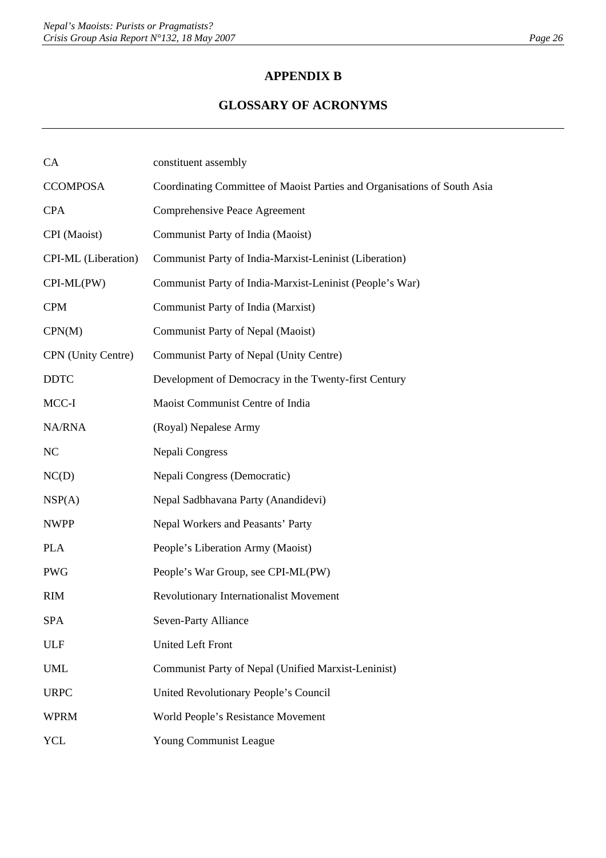# **APPENDIX B**

# **GLOSSARY OF ACRONYMS**

| CA                  | constituent assembly                                                     |
|---------------------|--------------------------------------------------------------------------|
| <b>CCOMPOSA</b>     | Coordinating Committee of Maoist Parties and Organisations of South Asia |
| <b>CPA</b>          | Comprehensive Peace Agreement                                            |
| CPI (Maoist)        | Communist Party of India (Maoist)                                        |
| CPI-ML (Liberation) | Communist Party of India-Marxist-Leninist (Liberation)                   |
| CPI-ML(PW)          | Communist Party of India-Marxist-Leninist (People's War)                 |
| <b>CPM</b>          | Communist Party of India (Marxist)                                       |
| CPN(M)              | Communist Party of Nepal (Maoist)                                        |
| CPN (Unity Centre)  | Communist Party of Nepal (Unity Centre)                                  |
| <b>DDTC</b>         | Development of Democracy in the Twenty-first Century                     |
| MCC-I               | Maoist Communist Centre of India                                         |
| NA/RNA              | (Royal) Nepalese Army                                                    |
| <b>NC</b>           | Nepali Congress                                                          |
| NC(D)               | Nepali Congress (Democratic)                                             |
| NSP(A)              | Nepal Sadbhavana Party (Anandidevi)                                      |
| <b>NWPP</b>         | Nepal Workers and Peasants' Party                                        |
| <b>PLA</b>          | People's Liberation Army (Maoist)                                        |
| <b>PWG</b>          | People's War Group, see CPI-ML(PW)                                       |
| <b>RIM</b>          | Revolutionary Internationalist Movement                                  |
| <b>SPA</b>          | Seven-Party Alliance                                                     |
| <b>ULF</b>          | <b>United Left Front</b>                                                 |
| <b>UML</b>          | Communist Party of Nepal (Unified Marxist-Leninist)                      |
| <b>URPC</b>         | United Revolutionary People's Council                                    |
| <b>WPRM</b>         | World People's Resistance Movement                                       |
| <b>YCL</b>          | Young Communist League                                                   |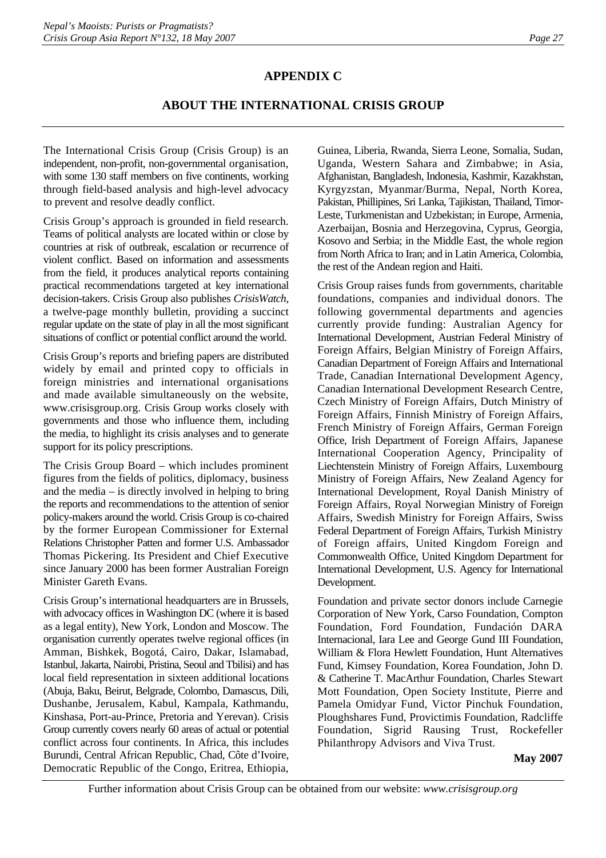# **APPENDIX C**

# **ABOUT THE INTERNATIONAL CRISIS GROUP**

The International Crisis Group (Crisis Group) is an independent, non-profit, non-governmental organisation, with some 130 staff members on five continents, working through field-based analysis and high-level advocacy to prevent and resolve deadly conflict.

Crisis Group's approach is grounded in field research. Teams of political analysts are located within or close by countries at risk of outbreak, escalation or recurrence of violent conflict. Based on information and assessments from the field, it produces analytical reports containing practical recommendations targeted at key international decision-takers. Crisis Group also publishes *CrisisWatch*, a twelve-page monthly bulletin, providing a succinct regular update on the state of play in all the most significant situations of conflict or potential conflict around the world.

Crisis Group's reports and briefing papers are distributed widely by email and printed copy to officials in foreign ministries and international organisations and made available simultaneously on the website, www.crisisgroup.org. Crisis Group works closely with governments and those who influence them, including the media, to highlight its crisis analyses and to generate support for its policy prescriptions.

The Crisis Group Board – which includes prominent figures from the fields of politics, diplomacy, business and the media – is directly involved in helping to bring the reports and recommendations to the attention of senior policy-makers around the world. Crisis Group is co-chaired by the former European Commissioner for External Relations Christopher Patten and former U.S. Ambassador Thomas Pickering. Its President and Chief Executive since January 2000 has been former Australian Foreign Minister Gareth Evans.

Crisis Group's international headquarters are in Brussels, with advocacy offices in Washington DC (where it is based as a legal entity), New York, London and Moscow. The organisation currently operates twelve regional offices (in Amman, Bishkek, Bogotá, Cairo, Dakar, Islamabad, Istanbul, Jakarta, Nairobi, Pristina, Seoul and Tbilisi) and has local field representation in sixteen additional locations (Abuja, Baku, Beirut, Belgrade, Colombo, Damascus, Dili, Dushanbe, Jerusalem, Kabul, Kampala, Kathmandu, Kinshasa, Port-au-Prince, Pretoria and Yerevan). Crisis Group currently covers nearly 60 areas of actual or potential conflict across four continents. In Africa, this includes Burundi, Central African Republic, Chad, Côte d'Ivoire, Democratic Republic of the Congo, Eritrea, Ethiopia,

Guinea, Liberia, Rwanda, Sierra Leone, Somalia, Sudan, Uganda, Western Sahara and Zimbabwe; in Asia, Afghanistan, Bangladesh, Indonesia, Kashmir, Kazakhstan, Kyrgyzstan, Myanmar/Burma, Nepal, North Korea, Pakistan, Phillipines, Sri Lanka, Tajikistan, Thailand, Timor-Leste, Turkmenistan and Uzbekistan; in Europe, Armenia, Azerbaijan, Bosnia and Herzegovina, Cyprus, Georgia, Kosovo and Serbia; in the Middle East, the whole region from North Africa to Iran; and in Latin America, Colombia, the rest of the Andean region and Haiti.

Crisis Group raises funds from governments, charitable foundations, companies and individual donors. The following governmental departments and agencies currently provide funding: Australian Agency for International Development, Austrian Federal Ministry of Foreign Affairs, Belgian Ministry of Foreign Affairs, Canadian Department of Foreign Affairs and International Trade, Canadian International Development Agency, Canadian International Development Research Centre, Czech Ministry of Foreign Affairs, Dutch Ministry of Foreign Affairs, Finnish Ministry of Foreign Affairs, French Ministry of Foreign Affairs, German Foreign Office, Irish Department of Foreign Affairs, Japanese International Cooperation Agency, Principality of Liechtenstein Ministry of Foreign Affairs, Luxembourg Ministry of Foreign Affairs, New Zealand Agency for International Development, Royal Danish Ministry of Foreign Affairs, Royal Norwegian Ministry of Foreign Affairs, Swedish Ministry for Foreign Affairs, Swiss Federal Department of Foreign Affairs, Turkish Ministry of Foreign affairs, United Kingdom Foreign and Commonwealth Office, United Kingdom Department for International Development, U.S. Agency for International Development.

Foundation and private sector donors include Carnegie Corporation of New York, Carso Foundation, Compton Foundation, Ford Foundation, Fundación DARA Internacional, Iara Lee and George Gund III Foundation, William & Flora Hewlett Foundation, Hunt Alternatives Fund, Kimsey Foundation, Korea Foundation, John D. & Catherine T. MacArthur Foundation, Charles Stewart Mott Foundation, Open Society Institute, Pierre and Pamela Omidyar Fund, Victor Pinchuk Foundation, Ploughshares Fund, Provictimis Foundation, Radcliffe Foundation, Sigrid Rausing Trust, Rockefeller Philanthropy Advisors and Viva Trust.

**May 2007**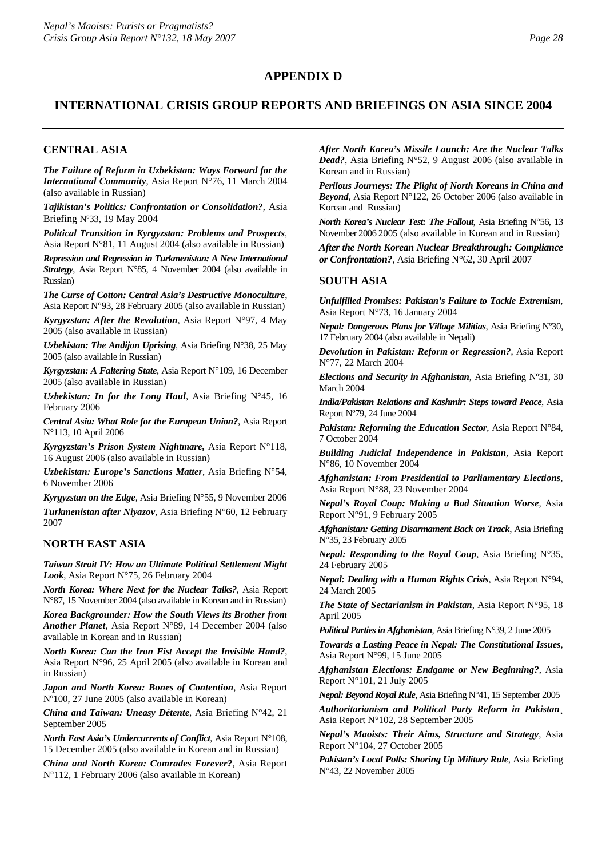## **APPENDIX D**

# **INTERNATIONAL CRISIS GROUP REPORTS AND BRIEFINGS ON ASIA SINCE 2004**

#### **CENTRAL ASIA**

*The Failure of Reform in Uzbekistan: Ways Forward for the International Community*, Asia Report N°76, 11 March 2004 (also available in Russian)

*Tajikistan's Politics: Confrontation or Consolidation?*, Asia Briefing Nº33, 19 May 2004

*Political Transition in Kyrgyzstan: Problems and Prospects*, Asia Report N°81, 11 August 2004 (also available in Russian)

*Repression and Regression in Turkmenistan: A New International Strategy*, Asia Report N°85, 4 November 2004 (also available in Russian)

*The Curse of Cotton: Central Asia's Destructive Monoculture*, Asia Report N°93, 28 February 2005 (also available in Russian)

*Kyrgyzstan: After the Revolution*, Asia Report N°97, 4 May 2005 (also available in Russian)

*Uzbekistan: The Andijon Uprising*, Asia Briefing N°38, 25 May 2005 (also available in Russian)

*Kyrgyzstan: A Faltering State*, Asia Report N°109, 16 December 2005 (also available in Russian)

*Uzbekistan: In for the Long Haul*, Asia Briefing N°45, 16 February 2006

*Central Asia: What Role for the European Union?*, Asia Report N°113, 10 April 2006

*Kyrgyzstan's Prison System Nightmare***,** Asia Report N°118, 16 August 2006 (also available in Russian)

*Uzbekistan: Europe's Sanctions Matter*, Asia Briefing N°54, 6 November 2006

*Kyrgyzstan on the Edge,* Asia Briefing N°55, 9 November 2006

*Turkmenistan after Niyazov*, Asia Briefing N°60, 12 February 2007

#### **NORTH EAST ASIA**

*Taiwan Strait IV: How an Ultimate Political Settlement Might Look*, Asia Report N°75, 26 February 2004

*North Korea: Where Next for the Nuclear Talks?*, Asia Report N°87, 15 November 2004 (also available in Korean and in Russian)

*Korea Backgrounder: How the South Views its Brother from Another Planet*, Asia Report N°89, 14 December 2004 (also available in Korean and in Russian)

*North Korea: Can the Iron Fist Accept the Invisible Hand?*, Asia Report N°96, 25 April 2005 (also available in Korean and in Russian)

*Japan and North Korea: Bones of Contention*, Asia Report Nº100, 27 June 2005 (also available in Korean)

*China and Taiwan: Uneasy Détente*, Asia Briefing N°42, 21 September 2005

*North East Asia's Undercurrents of Conflict*, Asia Report N°108, 15 December 2005 (also available in Korean and in Russian)

*China and North Korea: Comrades Forever?*, Asia Report N°112, 1 February 2006 (also available in Korean)

*After North Korea's Missile Launch: Are the Nuclear Talks Dead?*, Asia Briefing N°52, 9 August 2006 (also available in Korean and in Russian)

*Perilous Journeys: The Plight of North Koreans in China and Beyond*, Asia Report N°122, 26 October 2006 (also available in Korean and Russian)

*North Korea's Nuclear Test: The Fallout*, Asia Briefing N°56, 13 November 2006 2005 (also available in Korean and in Russian)

*After the North Korean Nuclear Breakthrough: Compliance or Confrontation?*, Asia Briefing N°62, 30 April 2007

#### **SOUTH ASIA**

*Unfulfilled Promises: Pakistan's Failure to Tackle Extremism*, Asia Report N°73, 16 January 2004

*Nepal: Dangerous Plans for Village Militias*, Asia Briefing Nº30, 17 February 2004 (also available in Nepali)

*[Devolution in Pakistan: Reform or Regression?](http://www.crisisweb.org/home/index.cfm?id=2549&l=1)*, Asia Report N°77, 22 March 2004

*Elections and Security in Afghanistan*, Asia Briefing Nº31, 30 March 2004

*India/Pakistan Relations and Kashmir: Steps toward Peace*, Asia Report Nº79, 24 June 2004

*Pakistan: Reforming the Education Sector*, Asia Report N°84, 7 October 2004

*Building Judicial Independence in Pakistan*, Asia Report N°86, 10 November 2004

*Afghanistan: From Presidential to Parliamentary Elections*, Asia Report N°88, 23 November 2004

*Nepal's Royal Coup: Making a Bad Situation Worse*, Asia Report N°91, 9 February 2005

*Afghanistan: Getting Disarmament Back on Track*, Asia Briefing N°35, 23 February 2005

*Nepal: Responding to the Royal Coup*, Asia Briefing N°35, 24 February 2005

*Nepal: Dealing with a Human Rights Crisis*, Asia Report N°94, 24 March 2005

*The State of Sectarianism in Pakistan*, Asia Report N°95, 18 April 2005

*Political Parties in Afghanistan*, Asia Briefing N°39, 2 June 2005

*Towards a Lasting Peace in Nepal: The Constitutional Issues*, Asia Report N°99, 15 June 2005

*Afghanistan Elections: Endgame or New Beginning?*, Asia Report N°101, 21 July 2005

*Nepal: Beyond Royal Rule*, Asia Briefing N°41, 15 September 2005

*Authoritarianism and Political Party Reform in Pakistan*¸ Asia Report N°102, 28 September 2005

*Nepal's Maoists: Their Aims, Structure and Strategy*, Asia Report N°104, 27 October 2005

*Pakistan's Local Polls: Shoring Up Military Rule*, Asia Briefing N°43, 22 November 2005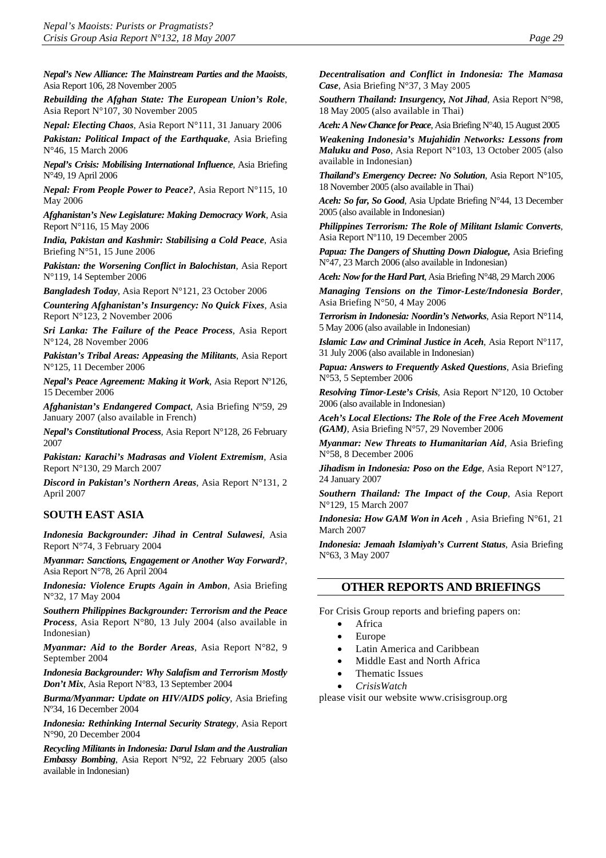*Nepal's New Alliance: The Mainstream Parties and the Maoists*, Asia Report 106, 28 November 2005

*Rebuilding the Afghan State: The European Union's Role*, Asia Report N°107, 30 November 2005

*Nepal: Electing Chaos*, Asia Report N°111, 31 January 2006 *Pakistan: Political Impact of the Earthquake*, Asia Briefing

N°46, 15 March 2006 *Nepal's Crisis: Mobilising International Influence*, Asia Briefing

N°49, 19 April 2006 *Nepal: From People Power to Peace?*, Asia Report N°115, 10

May 2006 *Afghanistan's New Legislature: Making Democracy Work*, Asia

Report N°116, 15 May 2006

*India, Pakistan and Kashmir: Stabilising a Cold Peace*, Asia Briefing N°51, 15 June 2006

*Pakistan: the Worsening Conflict in Balochistan*, Asia Report N°119, 14 September 2006

*Bangladesh Today*, Asia Report N°121, 23 October 2006

*Countering Afghanistan's Insurgency: No Quick Fixes*, Asia Report N°123, 2 November 2006

*Sri Lanka: The Failure of the Peace Process*, Asia Report N°124, 28 November 2006

*Pakistan's Tribal Areas: Appeasing the Militants*, Asia Report N°125, 11 December 2006

*Nepal's Peace Agreement: Making it Work*, Asia Report Nº126, 15 December 2006

*Afghanistan's Endangered Compact*, Asia Briefing Nº59, 29 January 2007 (also available in French)

*Nepal's Constitutional Process*, Asia Report N°128, 26 February 2007

*Pakistan: Karachi's Madrasas and Violent Extremism*, Asia Report N°130, 29 March 2007

*Discord in Pakistan's Northern Areas*, Asia Report N°131, 2 April 2007

#### **SOUTH EAST ASIA**

*Indonesia Backgrounder: Jihad in Central Sulawesi*, Asia Report N°74, 3 February 2004

*Myanmar: Sanctions, Engagement or Another Way Forward?*, Asia Report N°78, 26 April 2004

*Indonesia: Violence Erupts Again in Ambon*, Asia Briefing N°32, 17 May 2004

*Southern Philippines Backgrounder: Terrorism and the Peace Process*, Asia Report N°80, 13 July 2004 (also available in Indonesian)

*Myanmar: Aid to the Border Areas*, Asia Report N°82, 9 September 2004

*Indonesia Backgrounder: Why Salafism and Terrorism Mostly Don't Mix*, Asia Report N°83, 13 September 2004

*Burma/Myanmar: Update on HIV/AIDS policy*, Asia Briefing Nº34, 16 December 2004

*Indonesia: Rethinking Internal Security Strategy*, Asia Report N°90, 20 December 2004

*Recycling Militants in Indonesia: Darul Islam and the Australian Embassy Bombing*, Asia Report N°92, 22 February 2005 (also available in Indonesian)

*Decentralisation and Conflict in Indonesia: The Mamasa Case*, Asia Briefing N°37, 3 May 2005

*Southern Thailand: Insurgency, Not Jihad*, Asia Report N°98, 18 May 2005 (also available in Thai)

*Aceh: A New Chance for Peace*, Asia Briefing N°40, 15 August 2005

*Weakening Indonesia's Mujahidin Networks: Lessons from Maluku and Poso*, Asia Report N°103, 13 October 2005 (also available in Indonesian)

*Thailand's Emergency Decree: No Solution*, Asia Report N°105, 18 November 2005 (also available in Thai)

*Aceh: So far, So Good*, Asia Update Briefing N°44, 13 December 2005 (also available in Indonesian)

*Philippines Terrorism: The Role of Militant Islamic Converts*, Asia Report Nº110, 19 December 2005

*Papua: The Dangers of Shutting Down Dialogue,* Asia Briefing N°47, 23 March 2006 (also available in Indonesian)

*Aceh: Now for the Hard Part*, Asia Briefing N°48, 29 March 2006

*Managing Tensions on the Timor-Leste/Indonesia Border*, Asia Briefing N°50, 4 May 2006

*Terrorism in Indonesia: Noordin's Networks*, Asia Report N°114, 5 May 2006 (also available in Indonesian)

*Islamic Law and Criminal Justice in Aceh*, Asia Report N°117, 31 July 2006 (also available in Indonesian)

*Papua: Answers to Frequently Asked Questions*, Asia Briefing N°53, 5 September 2006

*Resolving Timor-Leste's Crisis*, Asia Report N°120, 10 October 2006 (also available in Indonesian)

*Aceh's Local Elections: The Role of the Free Aceh Movement (GAM)*, Asia Briefing N°57, 29 November 2006

*Myanmar: New Threats to Humanitarian Aid*, Asia Briefing N°58, 8 December 2006

*Jihadism in Indonesia: Poso on the Edge*, Asia Report N°127, 24 January 2007

*Southern Thailand: The Impact of the Coup*, Asia Report N°129, 15 March 2007

*Indonesia: How GAM Won in Aceh* , Asia Briefing N°61, 21 March 2007

*Indonesia: Jemaah Islamiyah's Current Status*, Asia Briefing N°63, 3 May 2007

#### **OTHER REPORTS AND BRIEFINGS**

For Crisis Group reports and briefing papers on:

- **Africa**
- Europe
- Latin America and Caribbean
- Middle East and North Africa
- Thematic Issues
- *CrisisWatch*

please visit our website [www.crisisgroup.org](http://www.crisisgroup.org/)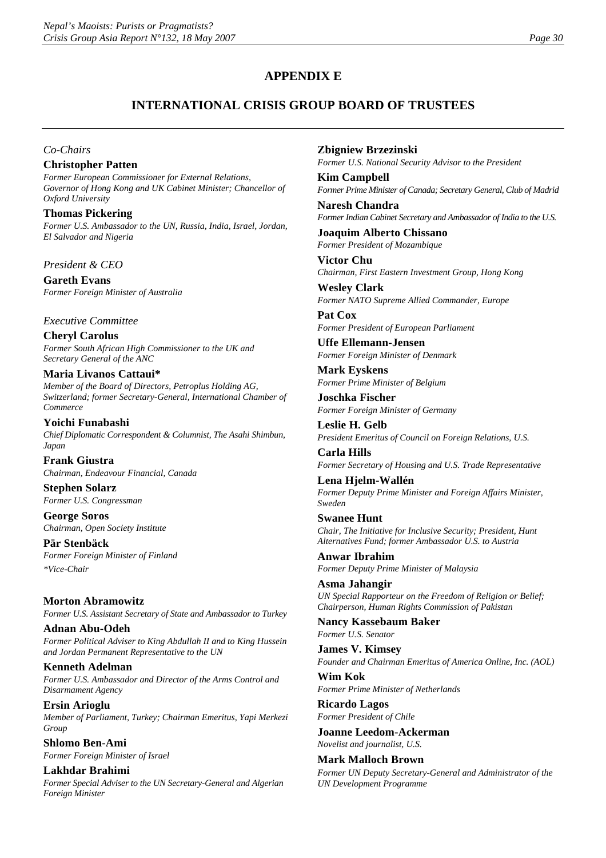# **APPENDIX E**

# **INTERNATIONAL CRISIS GROUP BOARD OF TRUSTEES**

#### *Co-Chairs*

#### **Christopher Patten**

*Former European Commissioner for External Relations, Governor of Hong Kong and UK Cabinet Minister; Chancellor of Oxford University*

**Thomas Pickering**  *Former U.S. Ambassador to the UN, Russia, India, Israel, Jordan, El Salvador and Nigeria*

*President & CEO*

**Gareth Evans** *Former Foreign Minister of Australia*

*Executive Committee*

**Cheryl Carolus** *Former South African High Commissioner to the UK and Secretary General of the ANC*

#### **Maria Livanos Cattaui\***

*Member of the Board of Directors, Petroplus Holding AG, Switzerland; former Secretary-General, International Chamber of Commerce*

**Yoichi Funabashi** *Chief Diplomatic Correspondent & Columnist, The Asahi Shimbun, Japan* 

**Frank Giustra** *Chairman, Endeavour Financial, Canada*

**Stephen Solarz** *Former U.S. Congressman*

**George Soros** *Chairman, Open Society Institute*

**Pär Stenbäck** *Former Foreign Minister of Finland \*Vice-Chair*

**Morton Abramowitz** *Former U.S. Assistant Secretary of State and Ambassador to Turkey*

**Adnan Abu-Odeh** *Former Political Adviser to King Abdullah II and to King Hussein and Jordan Permanent Representative to the UN*

**Kenneth Adelman** *Former U.S. Ambassador and Director of the Arms Control and Disarmament Agency*

**Ersin Arioglu** *Member of Parliament, Turkey; Chairman Emeritus, Yapi Merkezi Group*

**Shlomo Ben-Ami** *Former Foreign Minister of Israel*

**Lakhdar Brahimi** *Former Special Adviser to the UN Secretary-General and Algerian Foreign Minister*

**Zbigniew Brzezinski**

*Former U.S. National Security Advisor to the President*

**Kim Campbell** *Former Prime Minister of Canada; Secretary General, Club of Madrid*

**Naresh Chandra** *Former Indian Cabinet Secretary and Ambassador of India to the U.S.*

**Joaquim Alberto Chissano** *Former President of Mozambique*

**Victor Chu** *Chairman, First Eastern Investment Group, Hong Kong*

**Wesley Clark** *Former NATO Supreme Allied Commander, Europe*

**Pat Cox** *Former President of European Parliament*

**Uffe Ellemann-Jensen** *Former Foreign Minister of Denmark*

**Mark Eyskens** *Former Prime Minister of Belgium*

**Joschka Fischer** *Former Foreign Minister of Germany*

**Leslie H. Gelb** *President Emeritus of Council on Foreign Relations, U.S.* 

**Carla Hills** *Former Secretary of Housing and U.S. Trade Representative*

**Lena Hjelm-Wallén** *Former Deputy Prime Minister and Foreign Affairs Minister, Sweden*

**Swanee Hunt** *Chair, The Initiative for Inclusive Security; President, Hunt Alternatives Fund; former Ambassador U.S. to Austria* 

**Anwar Ibrahim** *Former Deputy Prime Minister of Malaysia*

**Asma Jahangir** *UN Special Rapporteur on the Freedom of Religion or Belief; Chairperson, Human Rights Commission of Pakistan*

**Nancy Kassebaum Baker** *Former U.S. Senator* 

**James V. Kimsey** *Founder and Chairman Emeritus of America Online, Inc. (AOL)*

**Wim Kok** *Former Prime Minister of Netherlands*

**Ricardo Lagos** *Former President of Chile* 

**Joanne Leedom-Ackerman** *Novelist and journalist, U.S.*

**Mark Malloch Brown**

*Former UN Deputy Secretary-General and Administrator of the UN Development Programme*